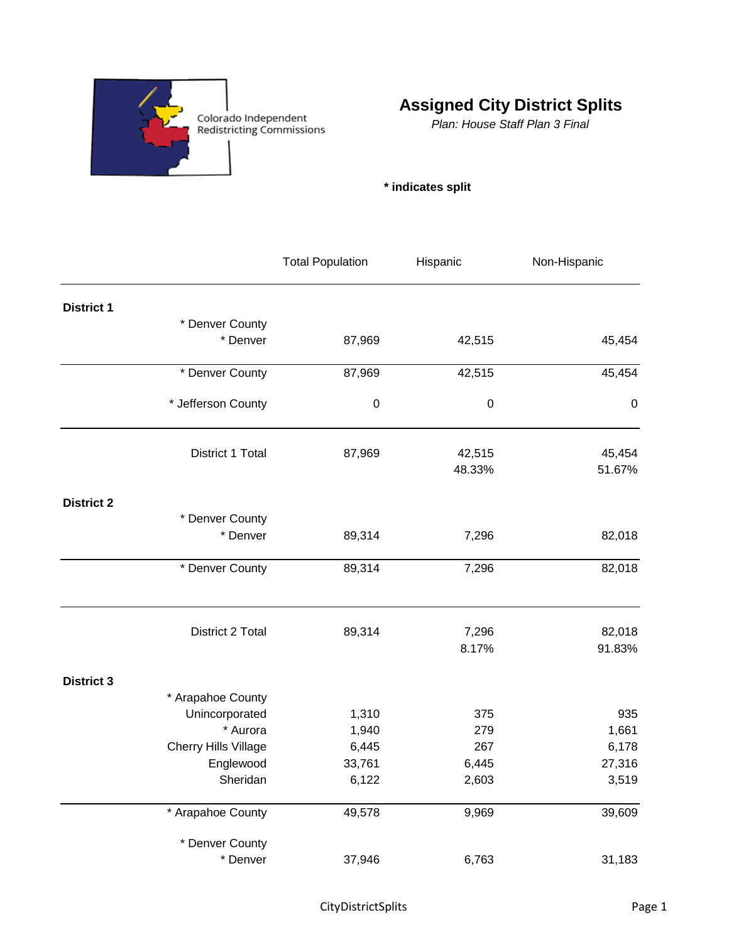

## **Assigned City District Splits**

*Plan: House Staff Plan 3 Final*

## **\* indicates split**

|                   |                      | <b>Total Population</b> | Hispanic         | Non-Hispanic |
|-------------------|----------------------|-------------------------|------------------|--------------|
| <b>District 1</b> |                      |                         |                  |              |
|                   | * Denver County      |                         |                  |              |
|                   | * Denver             | 87,969                  | 42,515           | 45,454       |
|                   | * Denver County      | 87,969                  | 42,515           | 45,454       |
|                   | * Jefferson County   | $\pmb{0}$               | $\boldsymbol{0}$ | $\pmb{0}$    |
|                   | District 1 Total     | 87,969                  | 42,515           | 45,454       |
|                   |                      |                         | 48.33%           | 51.67%       |
| <b>District 2</b> |                      |                         |                  |              |
|                   | * Denver County      |                         |                  |              |
|                   | * Denver             | 89,314                  | 7,296            | 82,018       |
|                   | * Denver County      | 89,314                  | 7,296            | 82,018       |
|                   | District 2 Total     | 89,314                  | 7,296            | 82,018       |
|                   |                      |                         | 8.17%            | 91.83%       |
| <b>District 3</b> |                      |                         |                  |              |
|                   | * Arapahoe County    |                         |                  |              |
|                   | Unincorporated       | 1,310                   | 375              | 935          |
|                   | * Aurora             | 1,940                   | 279              | 1,661        |
|                   | Cherry Hills Village | 6,445                   | 267              | 6,178        |
|                   | Englewood            | 33,761                  | 6,445            | 27,316       |
|                   | Sheridan             | 6,122                   | 2,603            | 3,519        |
|                   | * Arapahoe County    | 49,578                  | 9,969            | 39,609       |
|                   | * Denver County      |                         |                  |              |
|                   | * Denver             | 37,946                  | 6,763            | 31,183       |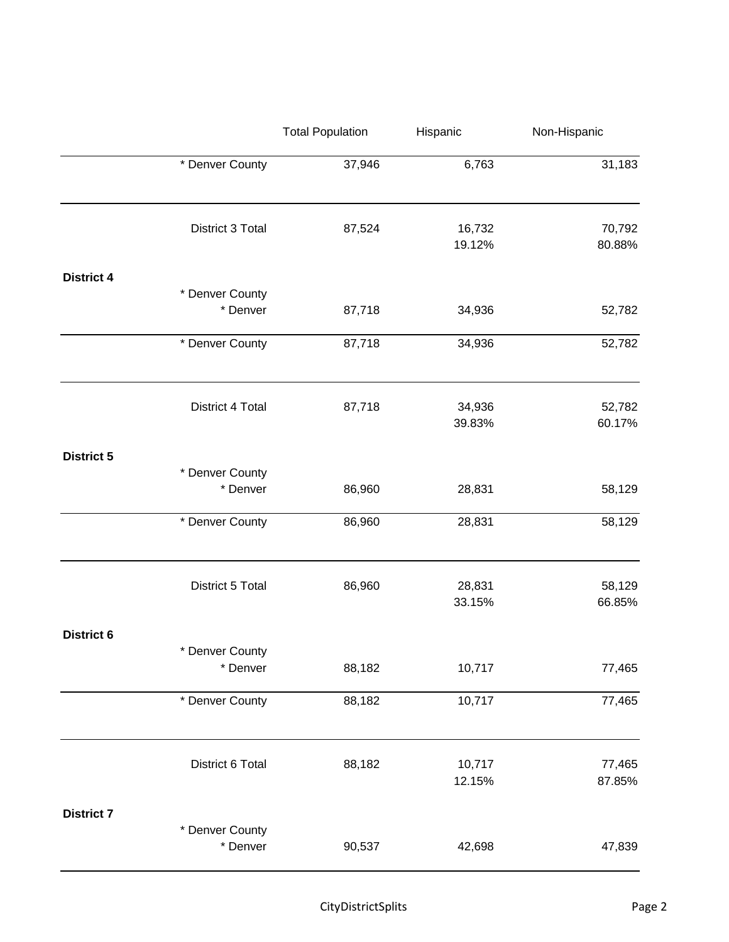|                   |                             | <b>Total Population</b> | Hispanic         | Non-Hispanic     |
|-------------------|-----------------------------|-------------------------|------------------|------------------|
|                   | * Denver County             | 37,946                  | 6,763            | 31,183           |
|                   | District 3 Total            | 87,524                  | 16,732<br>19.12% | 70,792<br>80.88% |
| <b>District 4</b> | * Denver County<br>* Denver | 87,718                  | 34,936           | 52,782           |
|                   | * Denver County             | 87,718                  | 34,936           | 52,782           |
|                   | District 4 Total            | 87,718                  | 34,936<br>39.83% | 52,782<br>60.17% |
| <b>District 5</b> | * Denver County<br>* Denver | 86,960                  | 28,831           | 58,129           |
|                   | * Denver County             | 86,960                  | 28,831           | 58,129           |
|                   | District 5 Total            | 86,960                  | 28,831<br>33.15% | 58,129<br>66.85% |
| <b>District 6</b> | * Denver County<br>* Denver | 88,182                  | 10,717           | 77,465           |
|                   | * Denver County             | 88,182                  | 10,717           | 77,465           |
|                   | District 6 Total            | 88,182                  | 10,717<br>12.15% | 77,465<br>87.85% |
| <b>District 7</b> | * Denver County<br>* Denver | 90,537                  | 42,698           | 47,839           |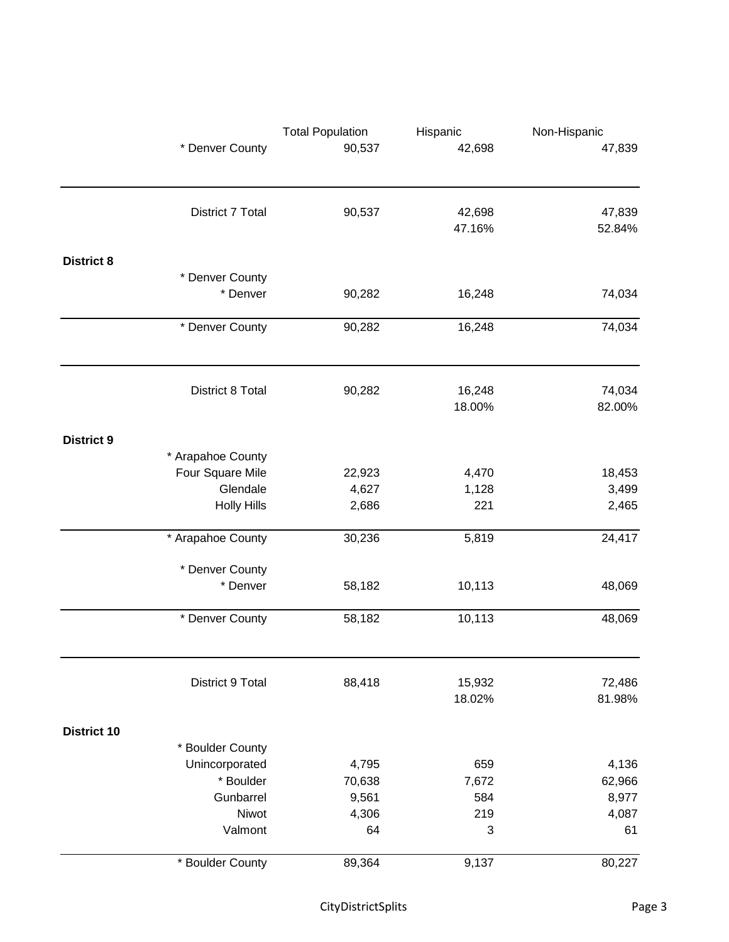|                    | * Denver County    | <b>Total Population</b><br>90,537 | Hispanic<br>42,698 | Non-Hispanic<br>47,839 |
|--------------------|--------------------|-----------------------------------|--------------------|------------------------|
|                    |                    |                                   |                    |                        |
|                    | District 7 Total   | 90,537                            | 42,698             | 47,839                 |
|                    |                    |                                   | 47.16%             | 52.84%                 |
| <b>District 8</b>  |                    |                                   |                    |                        |
|                    | * Denver County    |                                   |                    |                        |
|                    | * Denver           | 90,282                            | 16,248             | 74,034                 |
|                    | * Denver County    | 90,282                            | 16,248             | 74,034                 |
|                    |                    |                                   |                    |                        |
|                    | District 8 Total   | 90,282                            | 16,248             | 74,034                 |
|                    |                    |                                   | 18.00%             | 82.00%                 |
| <b>District 9</b>  |                    |                                   |                    |                        |
|                    | * Arapahoe County  |                                   |                    |                        |
|                    | Four Square Mile   | 22,923                            | 4,470              | 18,453                 |
|                    | Glendale           | 4,627                             | 1,128              | 3,499                  |
|                    | <b>Holly Hills</b> | 2,686                             | 221                | 2,465                  |
|                    | * Arapahoe County  | 30,236                            | 5,819              | 24,417                 |
|                    | * Denver County    |                                   |                    |                        |
|                    | * Denver           | 58,182                            | 10,113             | 48,069                 |
|                    | * Denver County    | 58,182                            | 10,113             | 48,069                 |
|                    |                    |                                   |                    |                        |
|                    | District 9 Total   | 88,418                            | 15,932<br>18.02%   | 72,486<br>81.98%       |
| <b>District 10</b> |                    |                                   |                    |                        |
|                    | * Boulder County   |                                   |                    |                        |
|                    | Unincorporated     | 4,795                             | 659                | 4,136                  |
|                    | * Boulder          | 70,638                            | 7,672              | 62,966                 |
|                    | Gunbarrel          | 9,561                             | 584                | 8,977                  |
|                    | Niwot              | 4,306                             | 219                | 4,087                  |
|                    | Valmont            | 64                                | 3                  | 61                     |
|                    | * Boulder County   | 89,364                            | 9,137              | 80,227                 |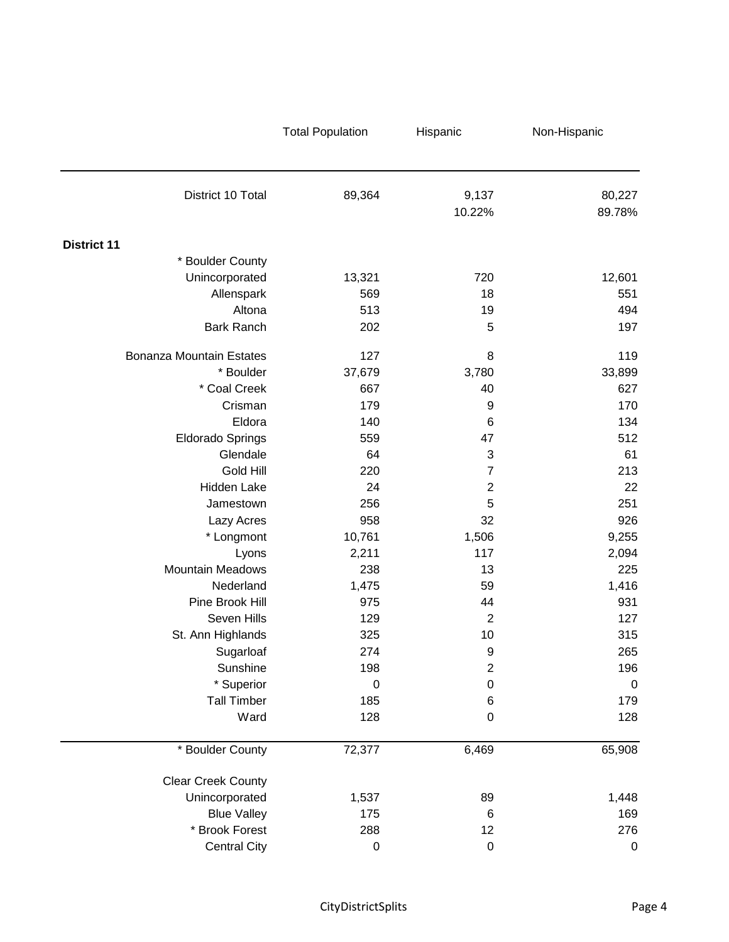| District 10 Total               | 89,364           | 9,137<br>10.22% | 80,227<br>89.78% |
|---------------------------------|------------------|-----------------|------------------|
| <b>District 11</b>              |                  |                 |                  |
| * Boulder County                |                  |                 |                  |
| Unincorporated                  | 13,321           | 720             | 12,601           |
| Allenspark                      | 569              | 18              | 551              |
| Altona                          | 513              | 19              | 494              |
| <b>Bark Ranch</b>               | 202              | 5               | 197              |
| <b>Bonanza Mountain Estates</b> | 127              | 8               | 119              |
| * Boulder                       | 37,679           | 3,780           | 33,899           |
| * Coal Creek                    | 667              | 40              | 627              |
| Crisman                         | 179              | 9               | 170              |
| Eldora                          | 140              | 6               | 134              |
| <b>Eldorado Springs</b>         | 559              | 47              | 512              |
| Glendale                        | 64               | 3               | 61               |
| Gold Hill                       | 220              | $\overline{7}$  | 213              |
| Hidden Lake                     | 24               | $\overline{2}$  | 22               |
| Jamestown                       | 256              | 5               | 251              |
| Lazy Acres                      | 958              | 32              | 926              |
| * Longmont                      | 10,761           | 1,506           | 9,255            |
| Lyons                           | 2,211            | 117             | 2,094            |
| <b>Mountain Meadows</b>         | 238              | 13              | 225              |
| Nederland                       | 1,475            | 59              | 1,416            |
| Pine Brook Hill                 | 975              | 44              | 931              |
| Seven Hills                     | 129              | $\overline{2}$  | 127              |
| St. Ann Highlands               | 325              | 10              | 315              |
| Sugarloaf                       | 274              | 9               | 265              |
| Sunshine                        | 198              | $\overline{c}$  | 196              |
| * Superior                      | $\boldsymbol{0}$ | $\mathbf 0$     | $\mathbf 0$      |
| <b>Tall Timber</b>              | 185              | 6               | 179              |
| Ward                            | 128              | $\mathbf 0$     | 128              |
| * Boulder County                | 72,377           | 6,469           | 65,908           |
| <b>Clear Creek County</b>       |                  |                 |                  |
| Unincorporated                  | 1,537            | 89              | 1,448            |
| <b>Blue Valley</b>              | 175              | 6               | 169              |
| * Brook Forest                  | 288              | 12              | 276              |
| <b>Central City</b>             | $\pmb{0}$        | $\mathbf 0$     | $\pmb{0}$        |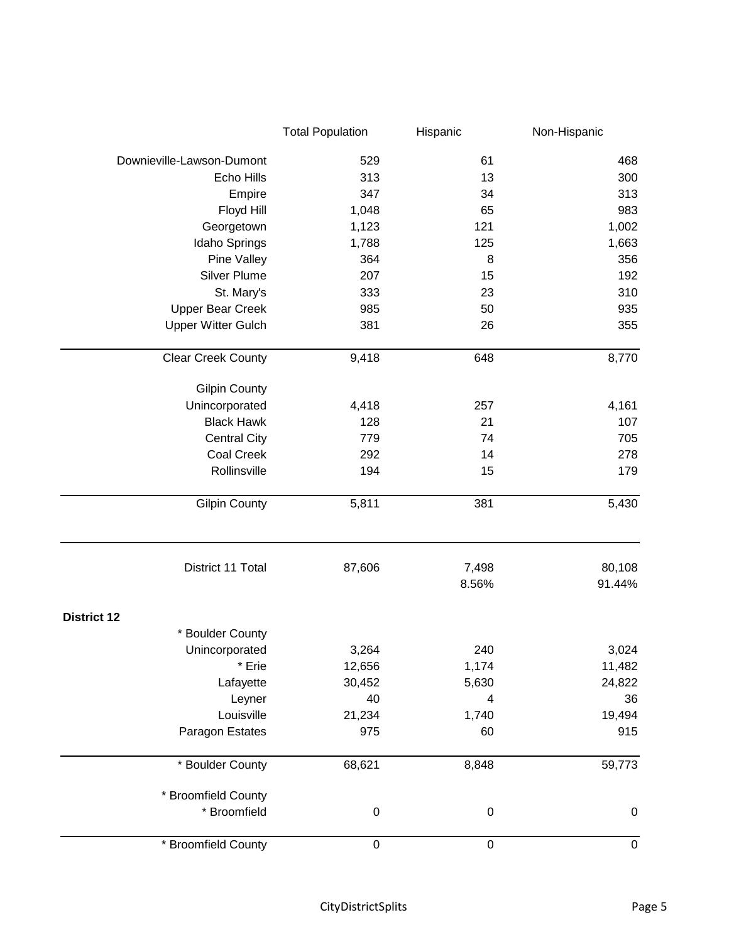|                           | <b>Total Population</b> | Hispanic       | Non-Hispanic     |
|---------------------------|-------------------------|----------------|------------------|
| Downieville-Lawson-Dumont | 529                     | 61             | 468              |
| Echo Hills                | 313                     | 13             | 300              |
| Empire                    | 347                     | 34             | 313              |
| Floyd Hill                | 1,048                   | 65             | 983              |
| Georgetown                | 1,123                   | 121            | 1,002            |
| Idaho Springs             | 1,788                   | 125            | 1,663            |
| Pine Valley               | 364                     | 8              | 356              |
| <b>Silver Plume</b>       | 207                     | 15             | 192              |
| St. Mary's                | 333                     | 23             | 310              |
| <b>Upper Bear Creek</b>   | 985                     | 50             | 935              |
| <b>Upper Witter Gulch</b> | 381                     | 26             | 355              |
| <b>Clear Creek County</b> | 9,418                   | 648            | 8,770            |
| <b>Gilpin County</b>      |                         |                |                  |
| Unincorporated            | 4,418                   | 257            | 4,161            |
| <b>Black Hawk</b>         | 128                     | 21             | 107              |
| <b>Central City</b>       | 779                     | 74             | 705              |
| Coal Creek                | 292                     | 14             | 278              |
| Rollinsville              | 194                     | 15             | 179              |
| <b>Gilpin County</b>      | 5,811                   | 381            | 5,430            |
| District 11 Total         | 87,606                  | 7,498<br>8.56% | 80,108<br>91.44% |
| <b>District 12</b>        |                         |                |                  |
| * Boulder County          |                         |                |                  |
| Unincorporated            | 3,264                   | 240            | 3,024            |
| * Erie                    | 12,656                  | 1,174          | 11,482           |
| Lafayette                 | 30,452                  | 5,630          | 24,822           |
| Leyner                    | 40                      | 4              | 36               |
| Louisville                | 21,234                  | 1,740          | 19,494           |
| Paragon Estates           | 975                     | 60             | 915              |
| * Boulder County          | 68,621                  | 8,848          | 59,773           |
| * Broomfield County       |                         |                |                  |
| * Broomfield              | $\pmb{0}$               | $\mathbf 0$    | $\pmb{0}$        |
| * Broomfield County       | $\pmb{0}$               | $\pmb{0}$      | $\pmb{0}$        |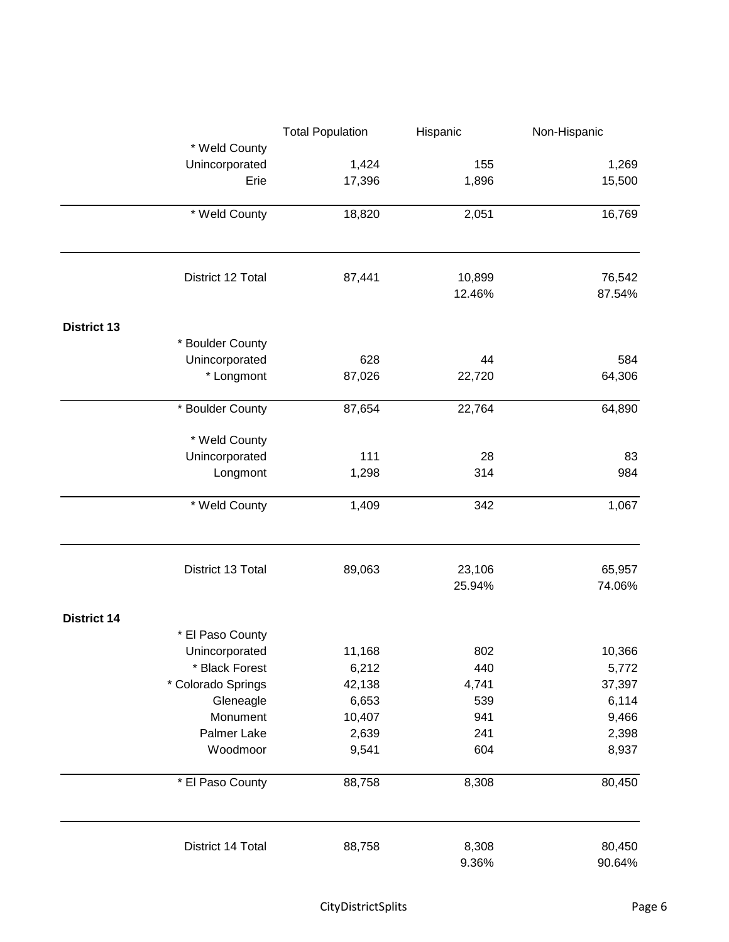|                    | <b>Total Population</b> | Hispanic |        |
|--------------------|-------------------------|----------|--------|
| * Weld County      |                         |          |        |
| Unincorporated     | 1,424                   | 155      | 1,269  |
| Erie               | 17,396                  | 1,896    | 15,500 |
| * Weld County      | 18,820                  | 2,051    | 16,769 |
|                    |                         |          |        |
| District 12 Total  | 87,441                  | 10,899   | 76,542 |
|                    |                         | 12.46%   | 87.54% |
| <b>District 13</b> |                         |          |        |
| * Boulder County   |                         |          |        |
| Unincorporated     | 628                     | 44       | 584    |
| * Longmont         | 87,026                  | 22,720   | 64,306 |
| * Boulder County   | 87,654                  | 22,764   | 64,890 |
| * Weld County      |                         |          |        |
| Unincorporated     | 111                     | 28       | 83     |
| Longmont           | 1,298                   | 314      | 984    |
| * Weld County      | 1,409                   | 342      | 1,067  |
| District 13 Total  | 89,063                  | 23,106   | 65,957 |
|                    |                         | 25.94%   | 74.06% |
| <b>District 14</b> |                         |          |        |
| * El Paso County   |                         |          |        |
| Unincorporated     | 11,168                  | 802      | 10,366 |
| * Black Forest     | 6,212                   | 440      | 5,772  |
| * Colorado Springs | 42,138                  | 4,741    | 37,397 |
| Gleneagle          | 6,653                   | 539      | 6,114  |
| Monument           | 10,407                  | 941      | 9,466  |
| Palmer Lake        | 2,639                   | 241      | 2,398  |
| Woodmoor           | 9,541                   | 604      | 8,937  |
| * El Paso County   | 88,758                  | 8,308    | 80,450 |
| District 14 Total  | 88,758                  | 8,308    | 80,450 |
|                    |                         | 9.36%    | 90.64% |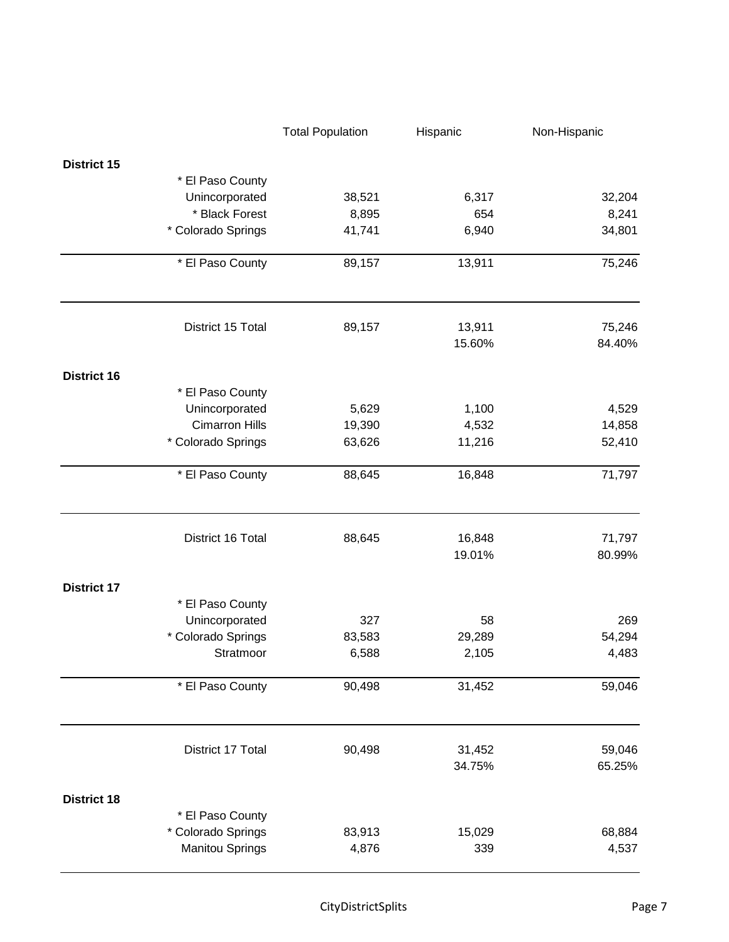|                    |                        | <b>Total Population</b> | Hispanic         | Non-Hispanic     |
|--------------------|------------------------|-------------------------|------------------|------------------|
| <b>District 15</b> |                        |                         |                  |                  |
|                    | * El Paso County       |                         |                  |                  |
|                    | Unincorporated         | 38,521                  | 6,317            | 32,204           |
|                    | * Black Forest         | 8,895                   | 654              | 8,241            |
|                    | * Colorado Springs     | 41,741                  | 6,940            | 34,801           |
|                    | * El Paso County       | 89,157                  | 13,911           | 75,246           |
|                    | District 15 Total      | 89,157                  | 13,911<br>15.60% | 75,246<br>84.40% |
| <b>District 16</b> |                        |                         |                  |                  |
|                    | * El Paso County       |                         |                  |                  |
|                    | Unincorporated         | 5,629                   | 1,100            | 4,529            |
|                    | <b>Cimarron Hills</b>  | 19,390                  | 4,532            | 14,858           |
|                    | * Colorado Springs     | 63,626                  | 11,216           | 52,410           |
|                    | * El Paso County       | 88,645                  | 16,848           | 71,797           |
|                    | District 16 Total      | 88,645                  | 16,848<br>19.01% | 71,797<br>80.99% |
|                    |                        |                         |                  |                  |
| <b>District 17</b> |                        |                         |                  |                  |
|                    | * El Paso County       |                         |                  |                  |
|                    | Unincorporated         | 327                     | 58               | 269              |
|                    | * Colorado Springs     | 83,583                  | 29,289           | 54,294           |
|                    | Stratmoor              | 6,588                   | 2,105            | 4,483            |
|                    | * El Paso County       | 90,498                  | 31,452           | 59,046           |
|                    | District 17 Total      | 90,498                  | 31,452           | 59,046           |
|                    |                        |                         | 34.75%           | 65.25%           |
| <b>District 18</b> |                        |                         |                  |                  |
|                    | * El Paso County       |                         |                  |                  |
|                    | * Colorado Springs     | 83,913                  | 15,029           | 68,884           |
|                    | <b>Manitou Springs</b> | 4,876                   | 339              | 4,537            |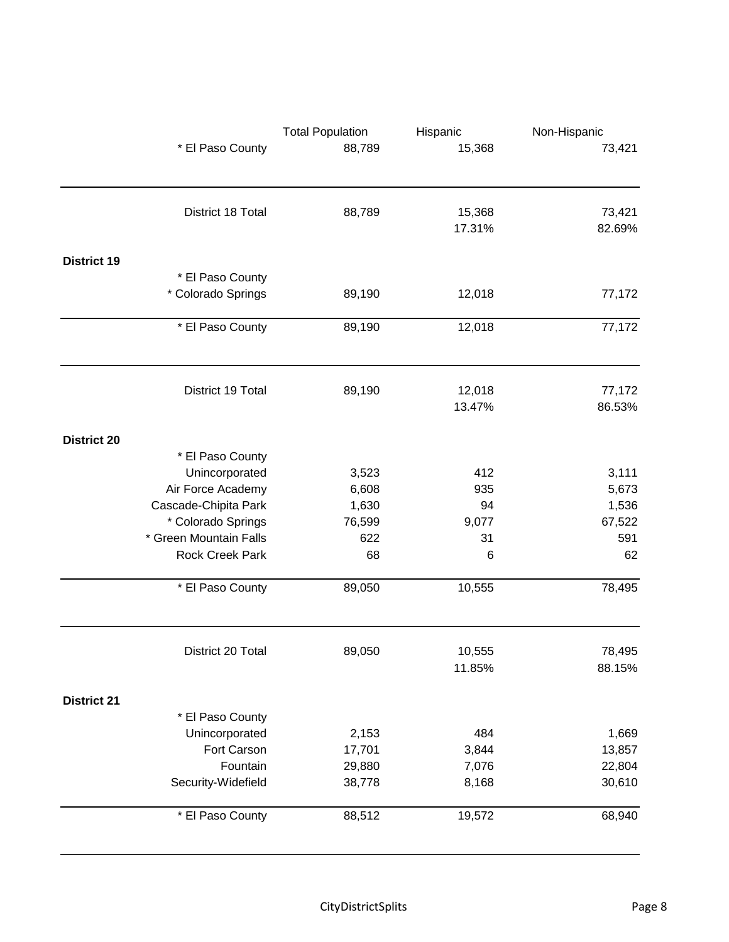|                    |                        | <b>Total Population</b><br>Hispanic |        | Non-Hispanic |
|--------------------|------------------------|-------------------------------------|--------|--------------|
|                    | * El Paso County       | 88,789                              | 15,368 | 73,421       |
|                    | District 18 Total      | 88,789                              | 15,368 | 73,421       |
|                    |                        |                                     | 17.31% | 82.69%       |
| <b>District 19</b> |                        |                                     |        |              |
|                    | * El Paso County       |                                     |        |              |
|                    | * Colorado Springs     | 89,190                              | 12,018 | 77,172       |
|                    | * El Paso County       | 89,190                              | 12,018 | 77,172       |
|                    |                        |                                     |        |              |
|                    | District 19 Total      | 89,190                              | 12,018 | 77,172       |
|                    |                        |                                     | 13.47% | 86.53%       |
| <b>District 20</b> |                        |                                     |        |              |
|                    | * El Paso County       |                                     |        |              |
|                    | Unincorporated         | 3,523                               | 412    | 3,111        |
|                    | Air Force Academy      | 6,608                               | 935    | 5,673        |
|                    | Cascade-Chipita Park   | 1,630                               | 94     | 1,536        |
|                    | * Colorado Springs     | 76,599                              | 9,077  | 67,522       |
|                    | * Green Mountain Falls | 622                                 | 31     | 591          |
|                    | Rock Creek Park        | 68                                  | 6      | 62           |
|                    | * El Paso County       | 89,050                              | 10,555 | 78,495       |
|                    | District 20 Total      | 89,050                              | 10,555 | 78,495       |
|                    |                        |                                     | 11.85% | 88.15%       |
| <b>District 21</b> |                        |                                     |        |              |
|                    | * El Paso County       |                                     |        |              |
|                    | Unincorporated         | 2,153                               | 484    | 1,669        |
|                    | Fort Carson            | 17,701                              | 3,844  | 13,857       |
|                    | Fountain               | 29,880                              | 7,076  | 22,804       |
|                    | Security-Widefield     | 38,778                              | 8,168  | 30,610       |
|                    | * El Paso County       | 88,512                              | 19,572 | 68,940       |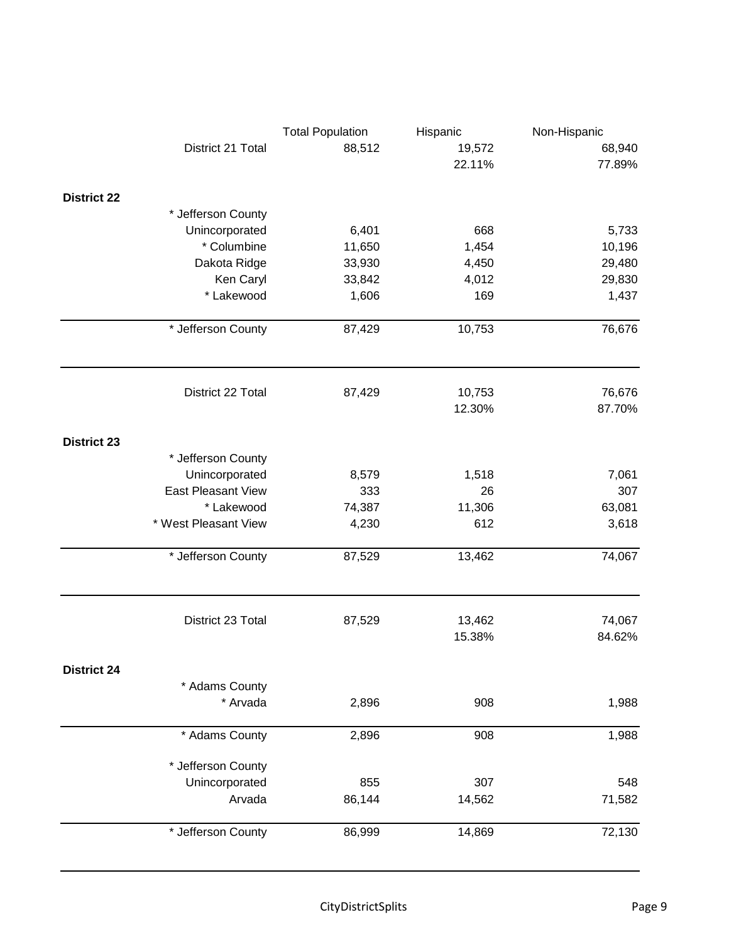|                           | <b>Total Population</b> | Hispanic | Non-Hispanic |
|---------------------------|-------------------------|----------|--------------|
| District 21 Total         | 88,512                  | 19,572   | 68,940       |
|                           |                         | 22.11%   | 77.89%       |
| <b>District 22</b>        |                         |          |              |
| * Jefferson County        |                         |          |              |
| Unincorporated            | 6,401                   | 668      | 5,733        |
| * Columbine               | 11,650                  | 1,454    | 10,196       |
| Dakota Ridge              | 33,930                  | 4,450    | 29,480       |
| Ken Caryl                 | 33,842                  | 4,012    | 29,830       |
| * Lakewood                | 1,606                   | 169      | 1,437        |
|                           |                         |          |              |
| * Jefferson County        | 87,429                  | 10,753   | 76,676       |
| District 22 Total         | 87,429                  | 10,753   | 76,676       |
|                           |                         | 12.30%   | 87.70%       |
| <b>District 23</b>        |                         |          |              |
| * Jefferson County        |                         |          |              |
| Unincorporated            | 8,579                   | 1,518    | 7,061        |
| <b>East Pleasant View</b> | 333                     | 26       | 307          |
| * Lakewood                | 74,387                  | 11,306   | 63,081       |
| * West Pleasant View      | 4,230                   | 612      | 3,618        |
|                           |                         |          |              |
| * Jefferson County        | 87,529                  | 13,462   | 74,067       |
| District 23 Total         | 87,529                  | 13,462   | 74,067       |
|                           |                         | 15.38%   | 84.62%       |
| <b>District 24</b>        |                         |          |              |
| * Adams County            |                         |          |              |
| * Arvada                  | 2,896                   | 908      | 1,988        |
| * Adams County            | 2,896                   | 908      | 1,988        |
| * Jefferson County        |                         |          |              |
| Unincorporated            | 855                     | 307      | 548          |
| Arvada                    | 86,144                  | 14,562   | 71,582       |
| * Jefferson County        | 86,999                  | 14,869   | 72,130       |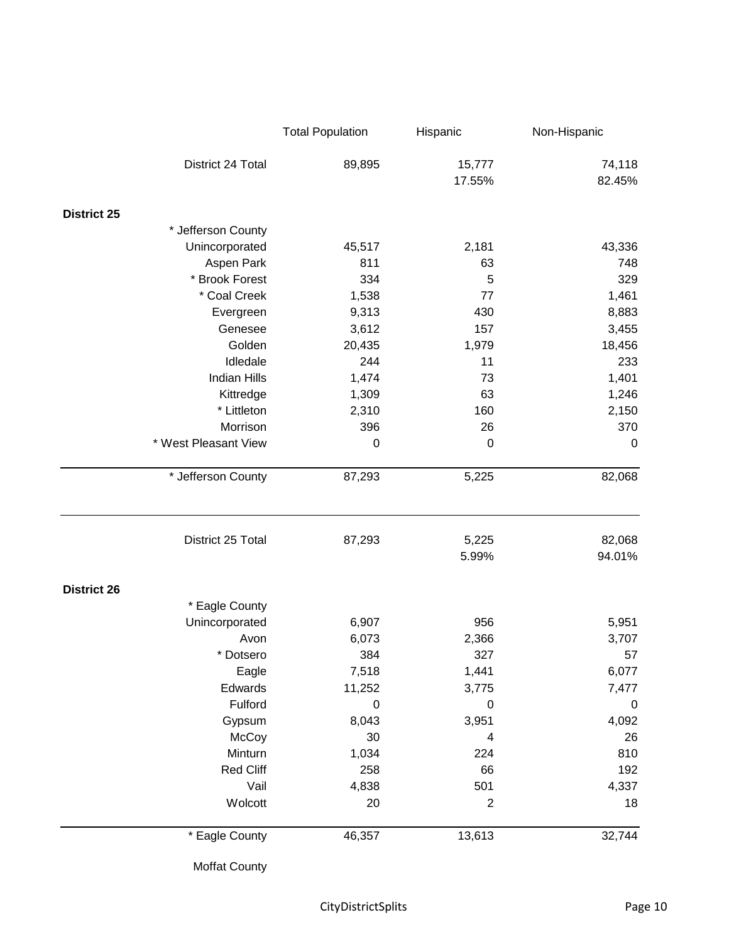|                      | <b>Total Population</b> | Hispanic         | Non-Hispanic     |
|----------------------|-------------------------|------------------|------------------|
| District 24 Total    | 89,895                  | 15,777<br>17.55% | 74,118<br>82.45% |
| <b>District 25</b>   |                         |                  |                  |
| * Jefferson County   |                         |                  |                  |
| Unincorporated       | 45,517                  | 2,181            | 43,336           |
| Aspen Park           | 811                     | 63               | 748              |
| * Brook Forest       | 334                     | 5                | 329              |
| * Coal Creek         | 1,538                   | 77               | 1,461            |
| Evergreen            | 9,313                   | 430              | 8,883            |
| Genesee              | 3,612                   | 157              | 3,455            |
| Golden               | 20,435                  | 1,979            | 18,456           |
| Idledale             | 244                     | 11               | 233              |
| <b>Indian Hills</b>  | 1,474                   | 73               | 1,401            |
| Kittredge            | 1,309                   | 63               | 1,246            |
| * Littleton          | 2,310                   | 160              | 2,150            |
| Morrison             | 396                     | 26               | 370              |
| * West Pleasant View | $\mathbf 0$             | $\mathbf 0$      | $\mathbf 0$      |
| * Jefferson County   | 87,293                  | 5,225            | 82,068           |
| District 25 Total    | 87,293                  | 5,225<br>5.99%   | 82,068<br>94.01% |
| <b>District 26</b>   |                         |                  |                  |
| * Eagle County       |                         |                  |                  |
| Unincorporated       | 6,907                   | 956              | 5,951            |
| Avon                 | 6,073                   | 2,366            | 3,707            |
| * Dotsero            | 384                     | 327              | 57               |
| Eagle                | 7,518                   | 1,441            | 6,077            |
| Edwards              | 11,252                  | 3,775            | 7,477            |
| Fulford              | $\mathbf 0$             | $\mathbf 0$      | $\boldsymbol{0}$ |
| Gypsum               | 8,043                   | 3,951            | 4,092            |
| McCoy                | 30                      | 4                | 26               |
| Minturn              | 1,034                   | 224              | 810              |
| Red Cliff            | 258                     | 66               | 192              |
| Vail                 | 4,838                   | 501              | 4,337            |
| Wolcott              | 20                      | $\mathbf{2}$     | 18               |
| * Eagle County       | 46,357                  | 13,613           | 32,744           |

Moffat County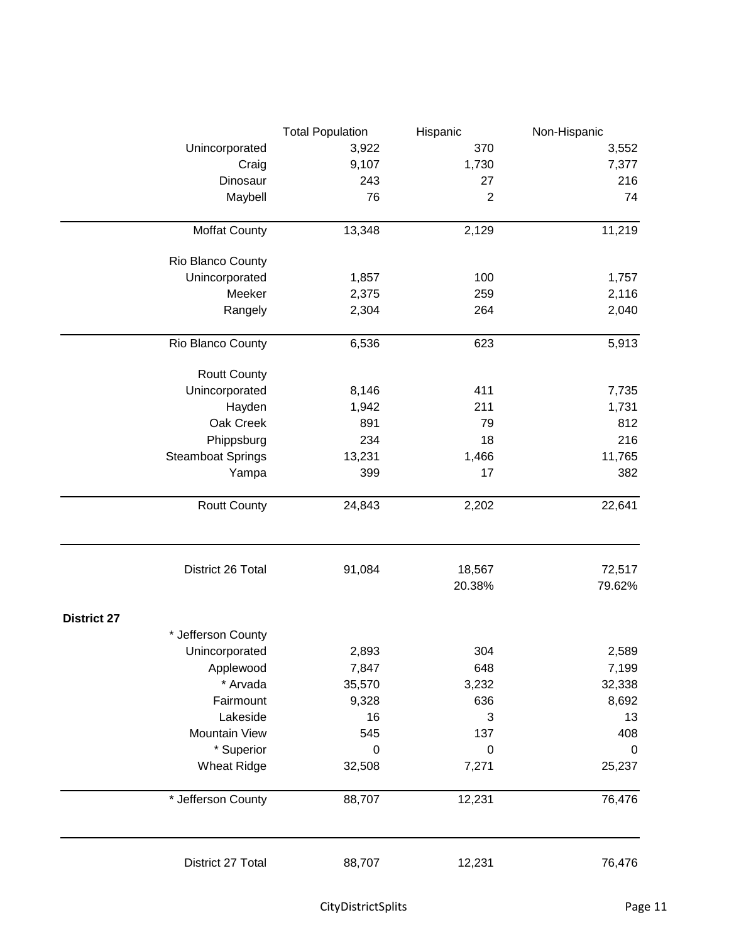|                          | <b>Total Population</b> | Hispanic       | Non-Hispanic |
|--------------------------|-------------------------|----------------|--------------|
| Unincorporated           | 3,922                   | 370            | 3,552        |
| Craig                    | 9,107                   | 1,730          | 7,377        |
| Dinosaur                 | 243                     | 27             | 216          |
| Maybell                  | 76                      | $\overline{2}$ | 74           |
| <b>Moffat County</b>     | 13,348                  | 2,129          | 11,219       |
|                          |                         |                |              |
| Rio Blanco County        |                         |                |              |
| Unincorporated           | 1,857                   | 100            | 1,757        |
| Meeker                   | 2,375                   | 259            | 2,116        |
| Rangely                  | 2,304                   | 264            | 2,040        |
| Rio Blanco County        | 6,536                   | 623            | 5,913        |
| <b>Routt County</b>      |                         |                |              |
| Unincorporated           | 8,146                   | 411            | 7,735        |
| Hayden                   | 1,942                   | 211            | 1,731        |
| Oak Creek                | 891                     | 79             | 812          |
| Phippsburg               | 234                     | 18             | 216          |
| <b>Steamboat Springs</b> | 13,231                  | 1,466          | 11,765       |
| Yampa                    | 399                     | 17             | 382          |
| <b>Routt County</b>      | 24,843                  | 2,202          | 22,641       |
| District 26 Total        | 91,084                  | 18,567         | 72,517       |
|                          |                         | 20.38%         | 79.62%       |
| <b>District 27</b>       |                         |                |              |
| * Jefferson County       |                         |                |              |
| Unincorporated           | 2,893                   | 304            | 2,589        |
| Applewood                | 7,847                   | 648            | 7,199        |
| * Arvada                 | 35,570                  | 3,232          | 32,338       |
| Fairmount                | 9,328                   | 636            | 8,692        |
| Lakeside                 | 16                      | 3              | 13           |
| Mountain View            | 545                     | 137            | 408          |
| * Superior               | 0                       | $\mathbf 0$    | 0            |
| <b>Wheat Ridge</b>       | 32,508                  | 7,271          | 25,237       |
| * Jefferson County       | 88,707                  | 12,231         | 76,476       |
| District 27 Total        | 88,707                  | 12,231         | 76,476       |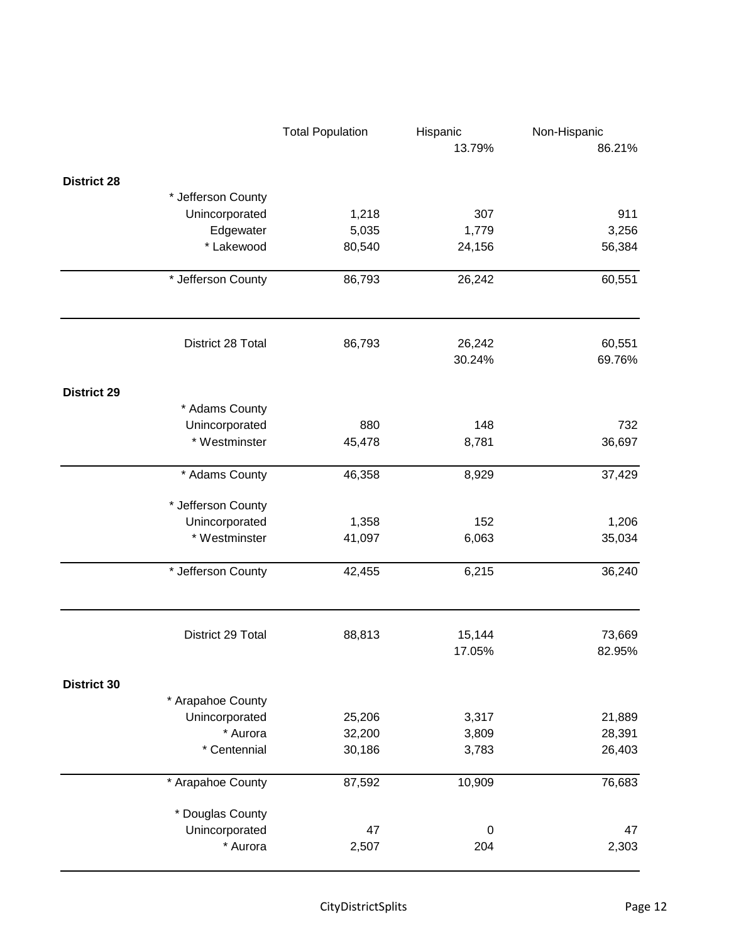|                    |                    | <b>Total Population</b> | Hispanic         | Non-Hispanic     |
|--------------------|--------------------|-------------------------|------------------|------------------|
|                    |                    |                         | 13.79%           | 86.21%           |
| <b>District 28</b> |                    |                         |                  |                  |
|                    | * Jefferson County |                         |                  |                  |
|                    | Unincorporated     | 1,218                   | 307              | 911              |
|                    | Edgewater          | 5,035                   | 1,779            | 3,256            |
|                    | * Lakewood         | 80,540                  | 24,156           | 56,384           |
|                    | * Jefferson County | 86,793                  | 26,242           | 60,551           |
|                    | District 28 Total  | 86,793                  | 26,242<br>30.24% | 60,551<br>69.76% |
|                    |                    |                         |                  |                  |
| <b>District 29</b> | * Adams County     |                         |                  |                  |
|                    | Unincorporated     | 880                     | 148              | 732              |
|                    | * Westminster      | 45,478                  | 8,781            | 36,697           |
|                    | * Adams County     | 46,358                  | 8,929            | 37,429           |
|                    | * Jefferson County |                         |                  |                  |
|                    | Unincorporated     | 1,358                   | 152              | 1,206            |
|                    | * Westminster      | 41,097                  | 6,063            | 35,034           |
|                    | * Jefferson County | 42,455                  | 6,215            | 36,240           |
|                    | District 29 Total  | 88,813                  | 15,144           | 73,669           |
|                    |                    |                         | 17.05%           | 82.95%           |
| <b>District 30</b> |                    |                         |                  |                  |
|                    | * Arapahoe County  |                         |                  |                  |
|                    | Unincorporated     | 25,206                  | 3,317            | 21,889           |
|                    | * Aurora           | 32,200                  | 3,809            | 28,391           |
|                    | * Centennial       | 30,186                  | 3,783            | 26,403           |
|                    | * Arapahoe County  | 87,592                  | 10,909           | 76,683           |
|                    | * Douglas County   |                         |                  |                  |
|                    | Unincorporated     | 47                      | $\pmb{0}$        | 47               |
|                    | * Aurora           | 2,507                   | 204              | 2,303            |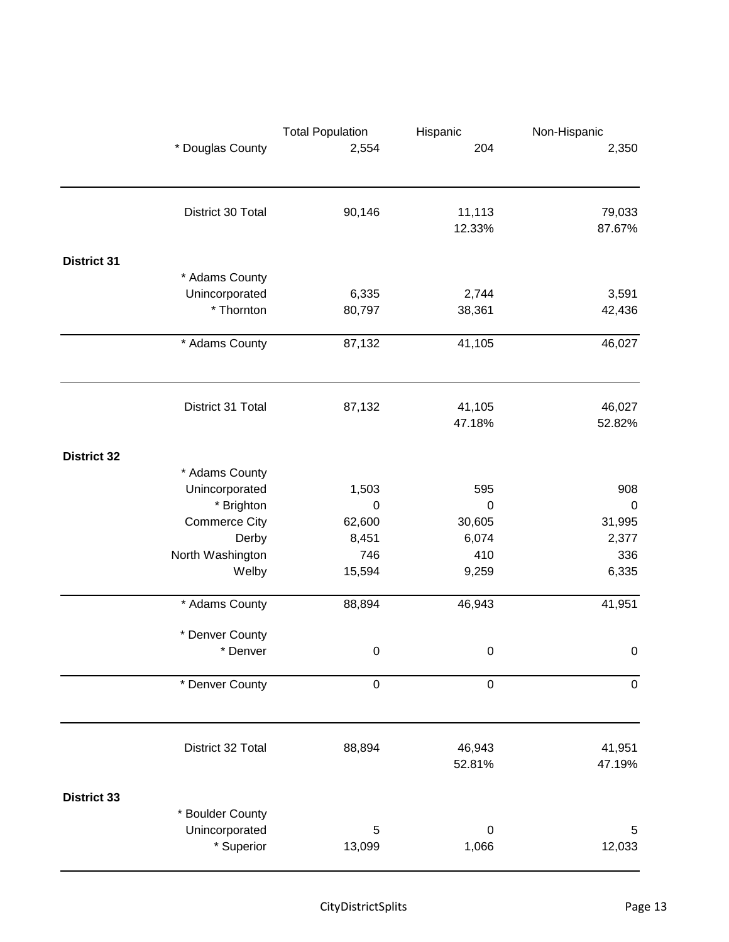|                    |                      | <b>Total Population</b><br>Hispanic |                  | Non-Hispanic |
|--------------------|----------------------|-------------------------------------|------------------|--------------|
|                    | * Douglas County     | 2,554                               | 204              | 2,350        |
|                    |                      |                                     |                  |              |
|                    | District 30 Total    | 90,146                              | 11,113           | 79,033       |
|                    |                      |                                     | 12.33%           | 87.67%       |
| <b>District 31</b> |                      |                                     |                  |              |
|                    | * Adams County       |                                     |                  |              |
|                    | Unincorporated       | 6,335                               | 2,744            | 3,591        |
|                    | * Thornton           | 80,797                              | 38,361           | 42,436       |
|                    | * Adams County       | 87,132                              | 41,105           | 46,027       |
|                    |                      |                                     |                  |              |
|                    | District 31 Total    | 87,132                              | 41,105           | 46,027       |
|                    |                      |                                     | 47.18%           | 52.82%       |
| <b>District 32</b> |                      |                                     |                  |              |
|                    | * Adams County       |                                     |                  |              |
|                    | Unincorporated       | 1,503                               | 595              | 908          |
|                    | * Brighton           | $\boldsymbol{0}$                    | $\pmb{0}$        | $\pmb{0}$    |
|                    | <b>Commerce City</b> | 62,600                              | 30,605           | 31,995       |
|                    | Derby                | 8,451                               | 6,074            | 2,377        |
|                    | North Washington     | 746                                 | 410              | 336          |
|                    | Welby                | 15,594                              | 9,259            | 6,335        |
|                    | * Adams County       | 88,894                              | 46,943           | 41,951       |
|                    | * Denver County      |                                     |                  |              |
|                    | * Denver             | 0                                   | 0                | 0            |
|                    | * Denver County      | $\boldsymbol{0}$                    | $\pmb{0}$        | $\pmb{0}$    |
|                    |                      |                                     |                  |              |
|                    | District 32 Total    | 88,894                              | 46,943           | 41,951       |
|                    |                      |                                     | 52.81%           | 47.19%       |
| <b>District 33</b> |                      |                                     |                  |              |
|                    | * Boulder County     |                                     |                  |              |
|                    | Unincorporated       | 5                                   | $\boldsymbol{0}$ | 5            |
|                    | * Superior           | 13,099                              | 1,066            | 12,033       |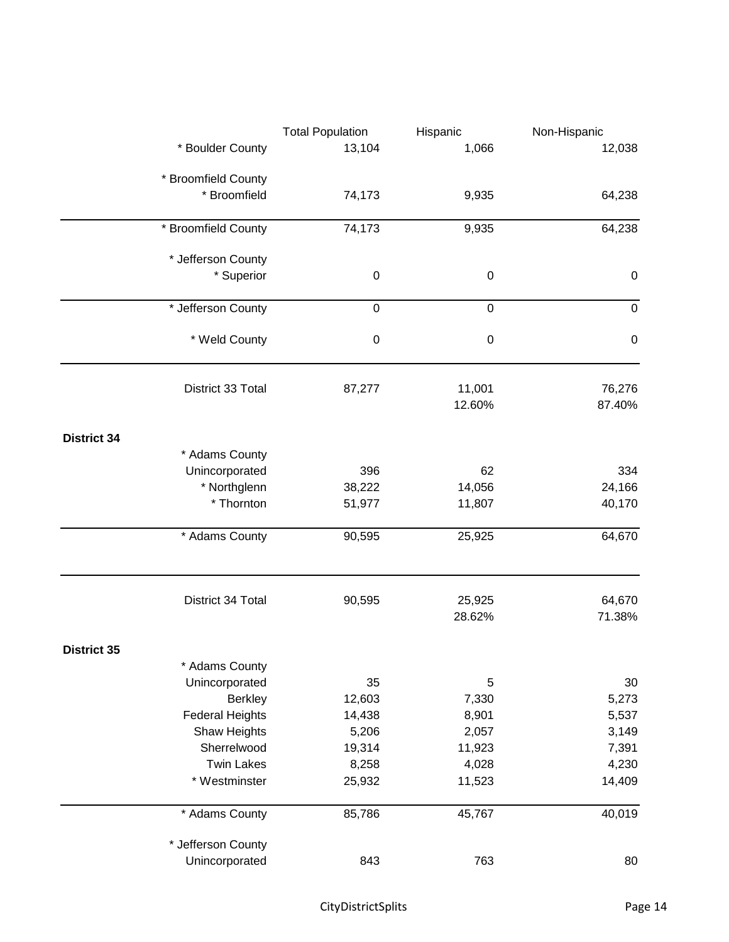|                    |                        | <b>Total Population</b><br>Hispanic |           | Non-Hispanic |
|--------------------|------------------------|-------------------------------------|-----------|--------------|
|                    | * Boulder County       | 13,104                              | 1,066     | 12,038       |
|                    | * Broomfield County    |                                     |           |              |
|                    | * Broomfield           | 74,173                              | 9,935     | 64,238       |
|                    | * Broomfield County    | 74,173                              | 9,935     | 64,238       |
|                    |                        |                                     |           |              |
|                    | * Jefferson County     |                                     |           |              |
|                    | * Superior             | $\pmb{0}$                           | $\pmb{0}$ | $\pmb{0}$    |
|                    | * Jefferson County     | $\pmb{0}$                           | $\pmb{0}$ | $\pmb{0}$    |
|                    | * Weld County          | $\pmb{0}$                           | $\,0\,$   | $\pmb{0}$    |
|                    | District 33 Total      | 87,277                              | 11,001    | 76,276       |
|                    |                        |                                     | 12.60%    | 87.40%       |
| <b>District 34</b> |                        |                                     |           |              |
|                    | * Adams County         |                                     |           |              |
|                    | Unincorporated         | 396                                 | 62        | 334          |
|                    | * Northglenn           | 38,222                              | 14,056    | 24,166       |
|                    | * Thornton             | 51,977                              | 11,807    | 40,170       |
|                    | * Adams County         | 90,595                              | 25,925    | 64,670       |
|                    | District 34 Total      | 90,595                              | 25,925    | 64,670       |
|                    |                        |                                     | 28.62%    | 71.38%       |
| <b>District 35</b> |                        |                                     |           |              |
|                    | * Adams County         |                                     |           |              |
|                    | Unincorporated         | 35                                  | 5         | 30           |
|                    | <b>Berkley</b>         | 12,603                              | 7,330     | 5,273        |
|                    | <b>Federal Heights</b> | 14,438                              | 8,901     | 5,537        |
|                    | Shaw Heights           | 5,206                               | 2,057     | 3,149        |
|                    | Sherrelwood            | 19,314                              | 11,923    | 7,391        |
|                    | <b>Twin Lakes</b>      | 8,258                               | 4,028     | 4,230        |
|                    | * Westminster          | 25,932                              | 11,523    | 14,409       |
|                    | * Adams County         | 85,786                              | 45,767    | 40,019       |
|                    | * Jefferson County     |                                     |           |              |
|                    | Unincorporated         | 843                                 | 763       | 80           |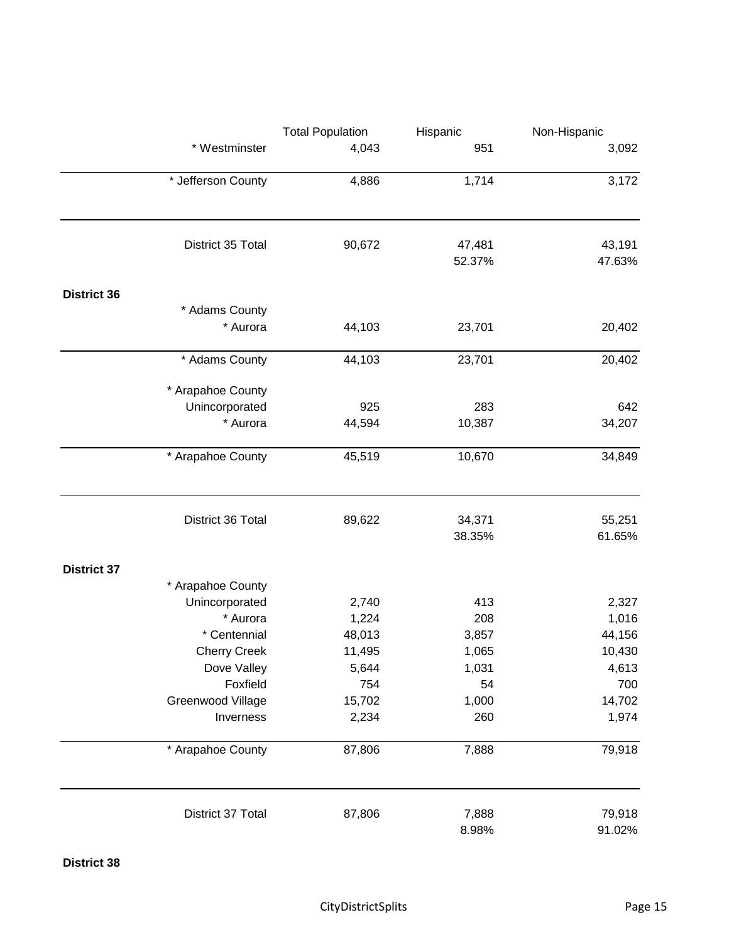|                    |                     | <b>Total Population</b> | Hispanic       | Non-Hispanic     |
|--------------------|---------------------|-------------------------|----------------|------------------|
|                    | * Westminster       | 4,043                   | 951            | 3,092            |
|                    | * Jefferson County  | 4,886                   | 1,714          | 3,172            |
|                    |                     |                         |                |                  |
|                    | District 35 Total   | 90,672                  | 47,481         | 43,191           |
|                    |                     |                         | 52.37%         | 47.63%           |
| <b>District 36</b> |                     |                         |                |                  |
|                    | * Adams County      |                         |                |                  |
|                    | * Aurora            | 44,103                  | 23,701         | 20,402           |
|                    | * Adams County      | 44,103                  | 23,701         | 20,402           |
|                    | * Arapahoe County   |                         |                |                  |
|                    | Unincorporated      | 925                     | 283            | 642              |
|                    | * Aurora            | 44,594                  | 10,387         | 34,207           |
|                    | * Arapahoe County   | 45,519                  | 10,670         | 34,849           |
|                    | District 36 Total   | 89,622                  | 34,371         | 55,251           |
|                    |                     |                         | 38.35%         | 61.65%           |
| <b>District 37</b> |                     |                         |                |                  |
|                    | * Arapahoe County   |                         |                |                  |
|                    | Unincorporated      | 2,740                   | 413            | 2,327            |
|                    | * Aurora            | 1,224                   | 208            | 1,016            |
|                    | * Centennial        | 48,013                  | 3,857          | 44,156           |
|                    | <b>Cherry Creek</b> | 11,495                  | 1,065          | 10,430           |
|                    | Dove Valley         | 5,644                   | 1,031          | 4,613            |
|                    | Foxfield            | 754                     | 54             | 700              |
|                    | Greenwood Village   | 15,702                  | 1,000          | 14,702           |
|                    | Inverness           | 2,234                   | 260            | 1,974            |
|                    | * Arapahoe County   | 87,806                  | 7,888          | 79,918           |
|                    | District 37 Total   | 87,806                  | 7,888<br>8.98% | 79,918<br>91.02% |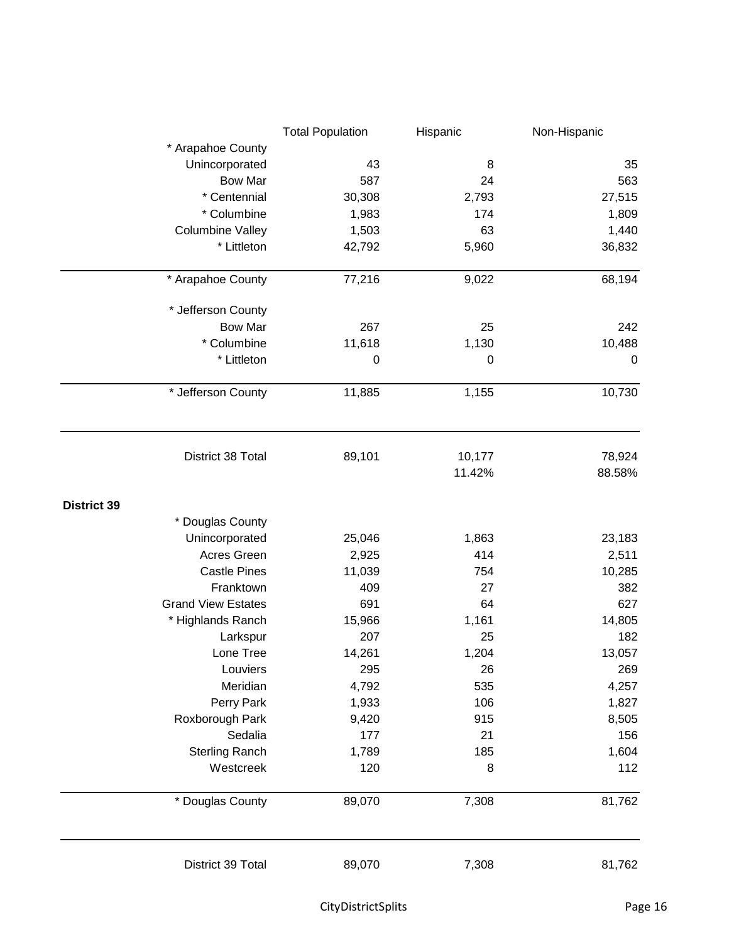|                           | <b>Total Population</b> | Hispanic    | Non-Hispanic     |
|---------------------------|-------------------------|-------------|------------------|
| * Arapahoe County         |                         |             |                  |
| Unincorporated            | 43                      | 8           | 35               |
| <b>Bow Mar</b>            | 587                     | 24          | 563              |
| * Centennial              | 30,308                  | 2,793       | 27,515           |
| * Columbine               | 1,983                   | 174         | 1,809            |
| <b>Columbine Valley</b>   | 1,503                   | 63          | 1,440            |
| * Littleton               | 42,792                  | 5,960       | 36,832           |
| * Arapahoe County         | 77,216                  | 9,022       | 68,194           |
| * Jefferson County        |                         |             |                  |
| <b>Bow Mar</b>            | 267                     | 25          | 242              |
| * Columbine               | 11,618                  | 1,130       | 10,488           |
| * Littleton               | $\mathbf 0$             | $\mathbf 0$ | $\boldsymbol{0}$ |
| * Jefferson County        | 11,885                  | 1,155       | 10,730           |
| District 38 Total         | 89,101                  | 10,177      | 78,924           |
|                           |                         | 11.42%      | 88.58%           |
| <b>District 39</b>        |                         |             |                  |
| * Douglas County          |                         |             |                  |
| Unincorporated            | 25,046                  | 1,863       | 23,183           |
| Acres Green               | 2,925                   | 414         | 2,511            |
| <b>Castle Pines</b>       | 11,039                  | 754         | 10,285           |
| Franktown                 | 409                     | 27          | 382              |
| <b>Grand View Estates</b> | 691                     | 64          | 627              |
| * Highlands Ranch         | 15,966                  | 1,161       | 14,805           |
| Larkspur                  | 207                     | 25          | 182              |
| Lone Tree                 | 14,261                  | 1,204       | 13,057           |
| Louviers                  | 295                     | 26          | 269              |
| Meridian                  | 4,792                   | 535         | 4,257            |
| Perry Park                | 1,933                   | 106         | 1,827            |
| Roxborough Park           | 9,420                   | 915         | 8,505            |
| Sedalia                   | 177                     | 21          | 156              |
| <b>Sterling Ranch</b>     | 1,789                   | 185         | 1,604            |
| Westcreek                 | 120                     | 8           | 112              |
| * Douglas County          | 89,070                  | 7,308       | 81,762           |
| District 39 Total         | 89,070                  | 7,308       | 81,762           |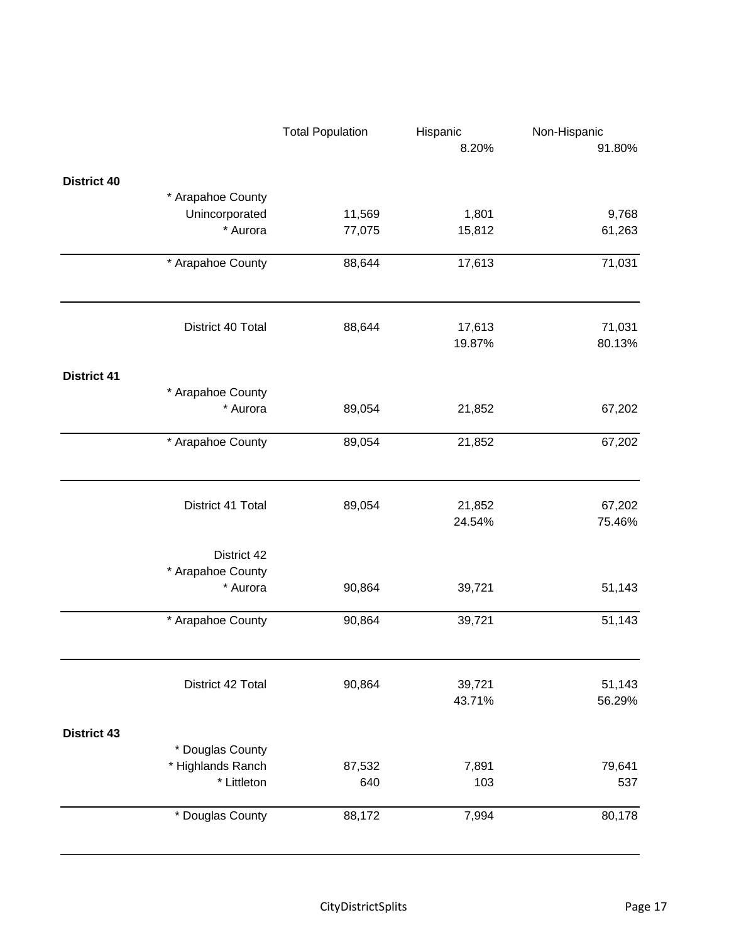|                    |                   | <b>Total Population</b> | Hispanic         | Non-Hispanic     |
|--------------------|-------------------|-------------------------|------------------|------------------|
|                    |                   |                         | 8.20%            | 91.80%           |
| <b>District 40</b> |                   |                         |                  |                  |
|                    | * Arapahoe County |                         |                  |                  |
|                    | Unincorporated    | 11,569                  | 1,801            | 9,768            |
|                    | * Aurora          | 77,075                  | 15,812           | 61,263           |
|                    | * Arapahoe County | 88,644                  | 17,613           | 71,031           |
|                    | District 40 Total | 88,644                  | 17,613           | 71,031           |
|                    |                   |                         | 19.87%           | 80.13%           |
| <b>District 41</b> |                   |                         |                  |                  |
|                    | * Arapahoe County |                         |                  |                  |
|                    | * Aurora          | 89,054                  | 21,852           | 67,202           |
|                    | * Arapahoe County | 89,054                  | 21,852           | 67,202           |
|                    |                   |                         |                  |                  |
|                    | District 41 Total | 89,054                  | 21,852<br>24.54% | 67,202<br>75.46% |
|                    | District 42       |                         |                  |                  |
|                    | * Arapahoe County |                         |                  |                  |
|                    | * Aurora          | 90,864                  | 39,721           | 51,143           |
|                    | * Arapahoe County | 90,864                  | 39,721           | 51,143           |
|                    |                   |                         |                  |                  |
|                    | District 42 Total | 90,864                  | 39,721<br>43.71% | 51,143<br>56.29% |
| <b>District 43</b> |                   |                         |                  |                  |
|                    | * Douglas County  |                         |                  |                  |
|                    | * Highlands Ranch | 87,532                  | 7,891            | 79,641           |
|                    | * Littleton       | 640                     | 103              | 537              |
|                    | * Douglas County  | 88,172                  | 7,994            | 80,178           |
|                    |                   |                         |                  |                  |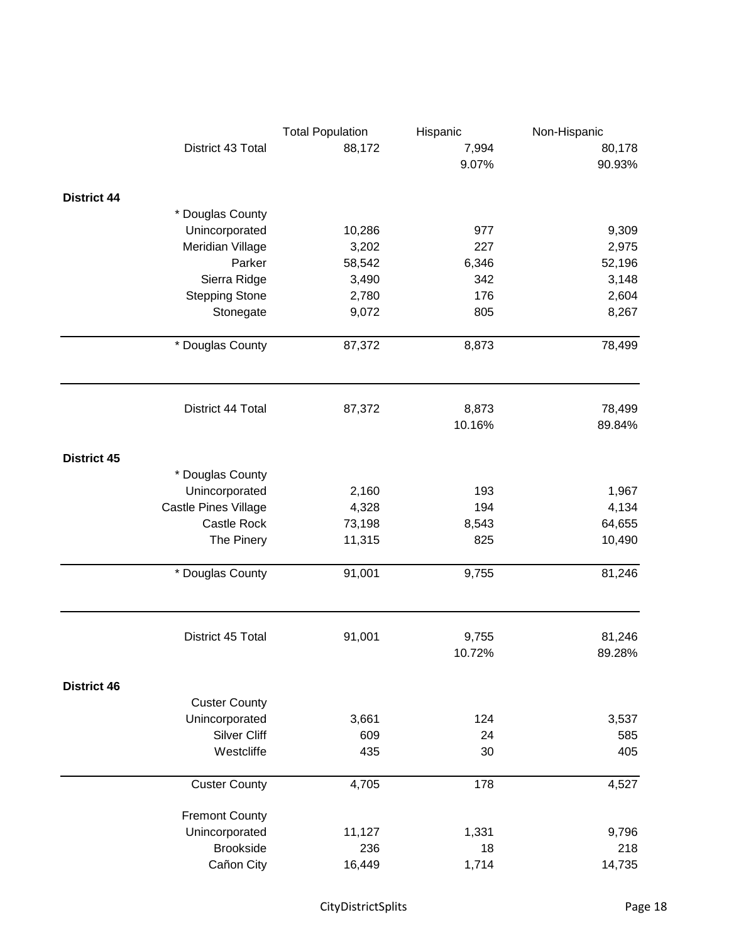|                    | <b>Total Population</b> | Hispanic | Non-Hispanic |                  |
|--------------------|-------------------------|----------|--------------|------------------|
|                    | District 43 Total       | 88,172   | 7,994        | 80,178           |
|                    |                         |          | 9.07%        | 90.93%           |
| <b>District 44</b> |                         |          |              |                  |
|                    | * Douglas County        |          |              |                  |
|                    | Unincorporated          | 10,286   | 977          | 9,309            |
|                    | Meridian Village        | 3,202    | 227          | 2,975            |
|                    | Parker                  | 58,542   | 6,346        | 52,196           |
|                    | Sierra Ridge            | 3,490    | 342          | 3,148            |
|                    | <b>Stepping Stone</b>   | 2,780    | 176          | 2,604            |
|                    | Stonegate               | 9,072    | 805          | 8,267            |
|                    | * Douglas County        | 87,372   | 8,873        | 78,499           |
|                    | District 44 Total       | 87,372   | 8,873        | 78,499           |
|                    |                         |          | 10.16%       | 89.84%           |
| <b>District 45</b> |                         |          |              |                  |
|                    | * Douglas County        |          |              |                  |
|                    | Unincorporated          | 2,160    | 193          | 1,967            |
|                    | Castle Pines Village    | 4,328    | 194          | 4,134            |
|                    | Castle Rock             | 73,198   | 8,543        | 64,655           |
|                    | The Pinery              | 11,315   | 825          | 10,490           |
|                    | * Douglas County        | 91,001   | 9,755        | 81,246           |
|                    | District 45 Total       | 91,001   | 9,755        | 81,246<br>89.28% |
|                    |                         |          | 10.72%       |                  |
| <b>District 46</b> | <b>Custer County</b>    |          |              |                  |
|                    | Unincorporated          | 3,661    | 124          | 3,537            |
|                    | Silver Cliff            | 609      | 24           | 585              |
|                    | Westcliffe              | 435      | 30           | 405              |
|                    | <b>Custer County</b>    | 4,705    | 178          | 4,527            |
|                    |                         |          |              |                  |
|                    | <b>Fremont County</b>   |          |              |                  |
|                    | Unincorporated          | 11,127   | 1,331        | 9,796            |
|                    | <b>Brookside</b>        | 236      | 18           | 218              |
|                    | Cañon City              | 16,449   | 1,714        | 14,735           |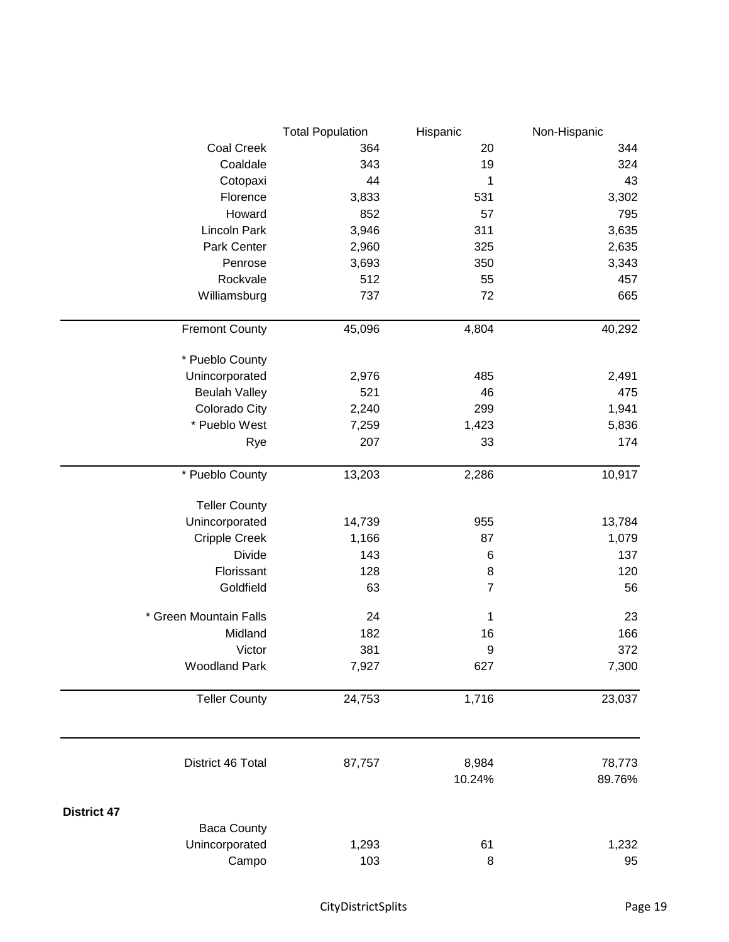|                        | <b>Total Population</b> | Hispanic       | Non-Hispanic |
|------------------------|-------------------------|----------------|--------------|
| <b>Coal Creek</b>      | 364                     | 20             | 344          |
| Coaldale               | 343                     | 19             | 324          |
| Cotopaxi               | 44                      | 1              | 43           |
| Florence               | 3,833                   | 531            | 3,302        |
| Howard                 | 852                     | 57             | 795          |
| Lincoln Park           | 3,946                   | 311            | 3,635        |
| Park Center            | 2,960                   | 325            | 2,635        |
| Penrose                | 3,693                   | 350            | 3,343        |
| Rockvale               | 512                     | 55             | 457          |
| Williamsburg           | 737                     | 72             | 665          |
| <b>Fremont County</b>  | 45,096                  | 4,804          | 40,292       |
| * Pueblo County        |                         |                |              |
| Unincorporated         | 2,976                   | 485            | 2,491        |
| <b>Beulah Valley</b>   | 521                     | 46             | 475          |
| Colorado City          | 2,240                   | 299            | 1,941        |
| * Pueblo West          | 7,259                   | 1,423          | 5,836        |
| Rye                    | 207                     | 33             | 174          |
| * Pueblo County        | 13,203                  | 2,286          | 10,917       |
| <b>Teller County</b>   |                         |                |              |
| Unincorporated         | 14,739                  | 955            | 13,784       |
| <b>Cripple Creek</b>   | 1,166                   | 87             | 1,079        |
| <b>Divide</b>          | 143                     | 6              | 137          |
| Florissant             | 128                     | 8              | 120          |
| Goldfield              | 63                      | $\overline{7}$ | 56           |
| * Green Mountain Falls | 24                      | 1              | 23           |
| Midland                | 182                     | 16             | 166          |
| Victor                 | 381                     | 9              | 372          |
| <b>Woodland Park</b>   | 7,927                   | 627            | 7,300        |
| <b>Teller County</b>   | 24,753                  | 1,716          | 23,037       |
| District 46 Total      | 87,757                  | 8,984          | 78,773       |
|                        |                         | 10.24%         | 89.76%       |
| <b>District 47</b>     |                         |                |              |
| <b>Baca County</b>     |                         |                |              |
| Unincorporated         | 1,293                   | 61             | 1,232        |
| Campo                  | 103                     | 8              | 95           |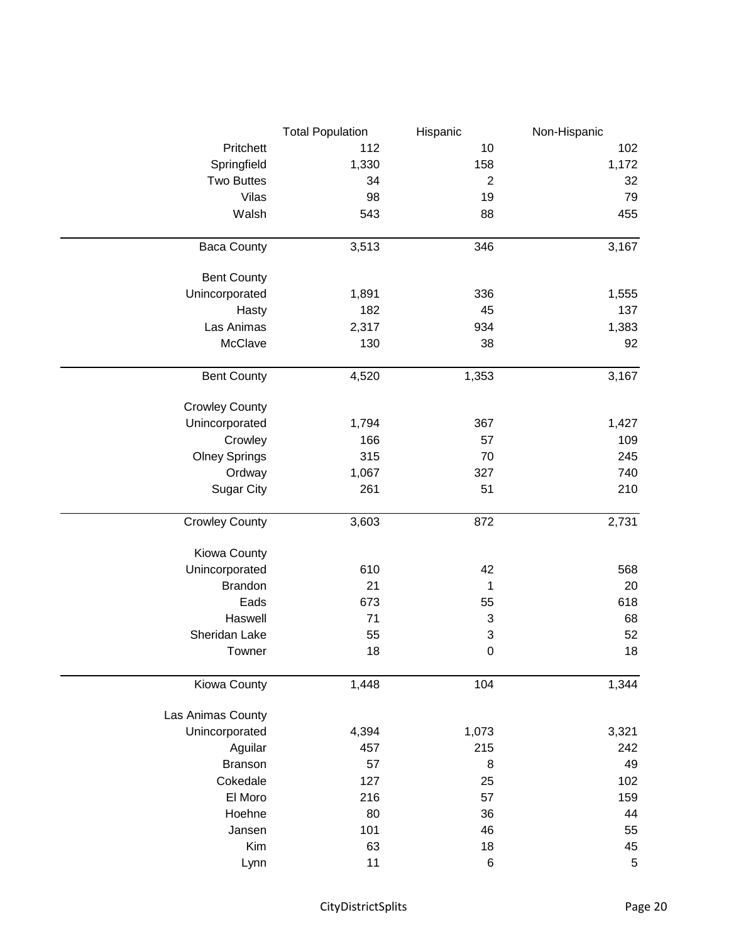|                       | <b>Total Population</b> | Hispanic        | Non-Hispanic |
|-----------------------|-------------------------|-----------------|--------------|
| Pritchett             | 112                     | 10              | 102          |
| Springfield           | 1,330                   | 158             | 1,172        |
| <b>Two Buttes</b>     | 34                      | $\mathbf{2}$    | 32           |
| Vilas                 | 98                      | 19              | 79           |
| Walsh                 | 543                     | 88              | 455          |
| <b>Baca County</b>    | 3,513                   | 346             | 3,167        |
| <b>Bent County</b>    |                         |                 |              |
| Unincorporated        | 1,891                   | 336             | 1,555        |
| Hasty                 | 182                     | 45              | 137          |
| Las Animas            | 2,317                   | 934             | 1,383        |
| McClave               | 130                     | 38              | 92           |
| <b>Bent County</b>    | 4,520                   | 1,353           | 3,167        |
| <b>Crowley County</b> |                         |                 |              |
| Unincorporated        | 1,794                   | 367             | 1,427        |
| Crowley               | 166                     | 57              | 109          |
| <b>Olney Springs</b>  | 315                     | 70              | 245          |
| Ordway                | 1,067                   | 327             | 740          |
| <b>Sugar City</b>     | 261                     | 51              | 210          |
| <b>Crowley County</b> | 3,603                   | 872             | 2,731        |
| Kiowa County          |                         |                 |              |
| Unincorporated        | 610                     | 42              | 568          |
| <b>Brandon</b>        | 21                      | 1               | 20           |
| Eads                  | 673                     | 55              | 618          |
| Haswell               | 71                      | 3               | 68           |
| Sheridan Lake         | 55                      | 3               | 52           |
| Towner                | 18                      | $\Omega$        | 18           |
| Kiowa County          | 1,448                   | 104             | 1,344        |
| Las Animas County     |                         |                 |              |
| Unincorporated        | 4,394                   | 1,073           | 3,321        |
| Aguilar               | 457                     | 215             | 242          |
| <b>Branson</b>        | 57                      | 8               | 49           |
| Cokedale              | 127                     | 25              | 102          |
| El Moro               | 216                     | 57              | 159          |
| Hoehne                | 80                      | 36              | 44           |
| Jansen                | 101                     | 46              | 55           |
| Kim                   | 63                      | 18              | 45           |
| Lynn                  | 11                      | $6\phantom{1}6$ | $\,$ 5 $\,$  |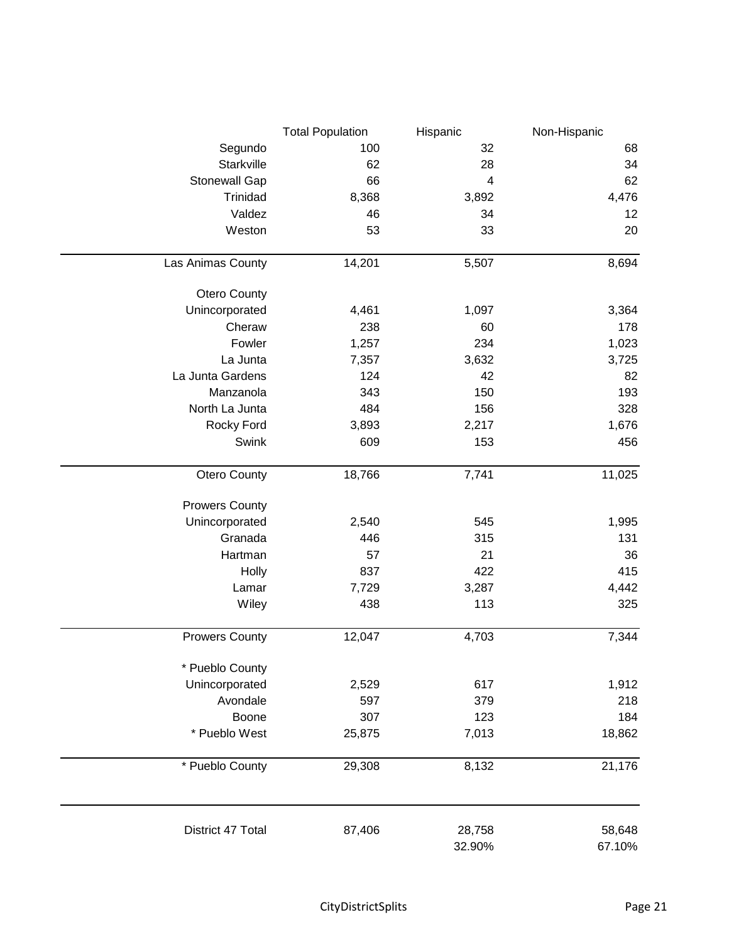|                       | <b>Total Population</b> | Hispanic         | Non-Hispanic     |
|-----------------------|-------------------------|------------------|------------------|
| Segundo               | 100                     | 32               | 68               |
| Starkville            | 62                      | 28               | 34               |
| Stonewall Gap         | 66                      | 4                | 62               |
| Trinidad              | 8,368                   | 3,892            | 4,476            |
| Valdez                | 46                      | 34               | 12               |
| Weston                | 53                      | 33               | 20               |
| Las Animas County     | 14,201                  | 5,507            | 8,694            |
| Otero County          |                         |                  |                  |
| Unincorporated        | 4,461                   | 1,097            | 3,364            |
| Cheraw                | 238                     | 60               | 178              |
| Fowler                | 1,257                   | 234              | 1,023            |
| La Junta              | 7,357                   | 3,632            | 3,725            |
| La Junta Gardens      | 124                     | 42               | 82               |
| Manzanola             | 343                     | 150              | 193              |
| North La Junta        | 484                     | 156              | 328              |
| Rocky Ford            | 3,893                   | 2,217            | 1,676            |
| Swink                 | 609                     | 153              | 456              |
| Otero County          | 18,766                  | 7,741            | 11,025           |
| <b>Prowers County</b> |                         |                  |                  |
| Unincorporated        | 2,540                   | 545              | 1,995            |
| Granada               | 446                     | 315              | 131              |
| Hartman               | 57                      | 21               | 36               |
| Holly                 | 837                     | 422              | 415              |
| Lamar                 | 7,729                   | 3,287            | 4,442            |
| Wiley                 | 438                     | 113              | 325              |
| <b>Prowers County</b> | 12,047                  | 4,703            | 7,344            |
| * Pueblo County       |                         |                  |                  |
| Unincorporated        | 2,529                   | 617              | 1,912            |
| Avondale              | 597                     | 379              | 218              |
| Boone                 | 307                     | 123              | 184              |
| * Pueblo West         | 25,875                  | 7,013            | 18,862           |
| * Pueblo County       | 29,308                  | 8,132            | 21,176           |
| District 47 Total     | 87,406                  | 28,758<br>32.90% | 58,648<br>67.10% |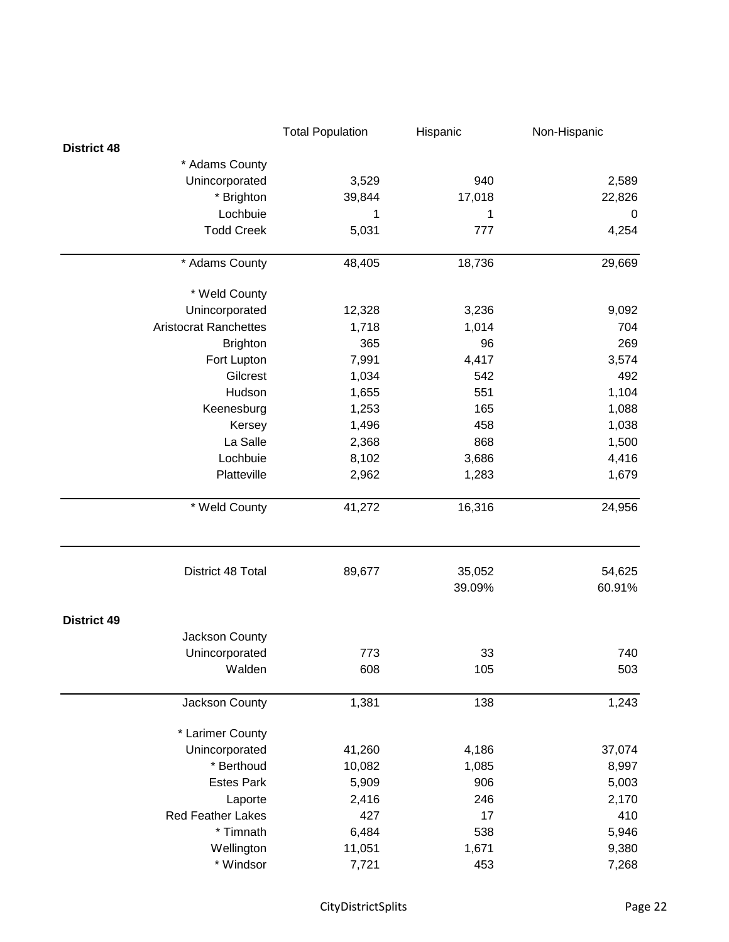|                              | <b>Total Population</b> | Hispanic         | Non-Hispanic     |
|------------------------------|-------------------------|------------------|------------------|
| <b>District 48</b>           |                         |                  |                  |
| * Adams County               |                         |                  |                  |
| Unincorporated               | 3,529                   | 940              | 2,589            |
| * Brighton                   | 39,844                  | 17,018           | 22,826           |
| Lochbuie                     | 1                       | 1                | 0                |
| <b>Todd Creek</b>            | 5,031                   | 777              | 4,254            |
| * Adams County               | 48,405                  | 18,736           | 29,669           |
| * Weld County                |                         |                  |                  |
| Unincorporated               | 12,328                  | 3,236            | 9,092            |
| <b>Aristocrat Ranchettes</b> | 1,718                   | 1,014            | 704              |
| <b>Brighton</b>              | 365                     | 96               | 269              |
| Fort Lupton                  | 7,991                   | 4,417            | 3,574            |
| Gilcrest                     | 1,034                   | 542              | 492              |
| Hudson                       | 1,655                   | 551              | 1,104            |
| Keenesburg                   | 1,253                   | 165              | 1,088            |
| Kersey                       | 1,496                   | 458              | 1,038            |
| La Salle                     | 2,368                   | 868              | 1,500            |
| Lochbuie                     | 8,102                   | 3,686            | 4,416            |
| Platteville                  | 2,962                   | 1,283            | 1,679            |
| * Weld County                | 41,272                  | 16,316           | 24,956           |
| District 48 Total            | 89,677                  | 35,052<br>39.09% | 54,625<br>60.91% |
| <b>District 49</b>           |                         |                  |                  |
| Jackson County               |                         |                  |                  |
| Unincorporated               | 773                     | 33               | 740              |
| Walden                       | 608                     | 105              | 503              |
| Jackson County               | 1,381                   | 138              | 1,243            |
| * Larimer County             |                         |                  |                  |
| Unincorporated               | 41,260                  | 4,186            | 37,074           |
| * Berthoud                   | 10,082                  | 1,085            | 8,997            |
| <b>Estes Park</b>            | 5,909                   | 906              | 5,003            |
| Laporte                      | 2,416                   | 246              | 2,170            |
| <b>Red Feather Lakes</b>     | 427                     | 17               | 410              |
| * Timnath                    | 6,484                   | 538              | 5,946            |
| Wellington                   | 11,051                  | 1,671            | 9,380            |
| * Windsor                    | 7,721                   | 453              | 7,268            |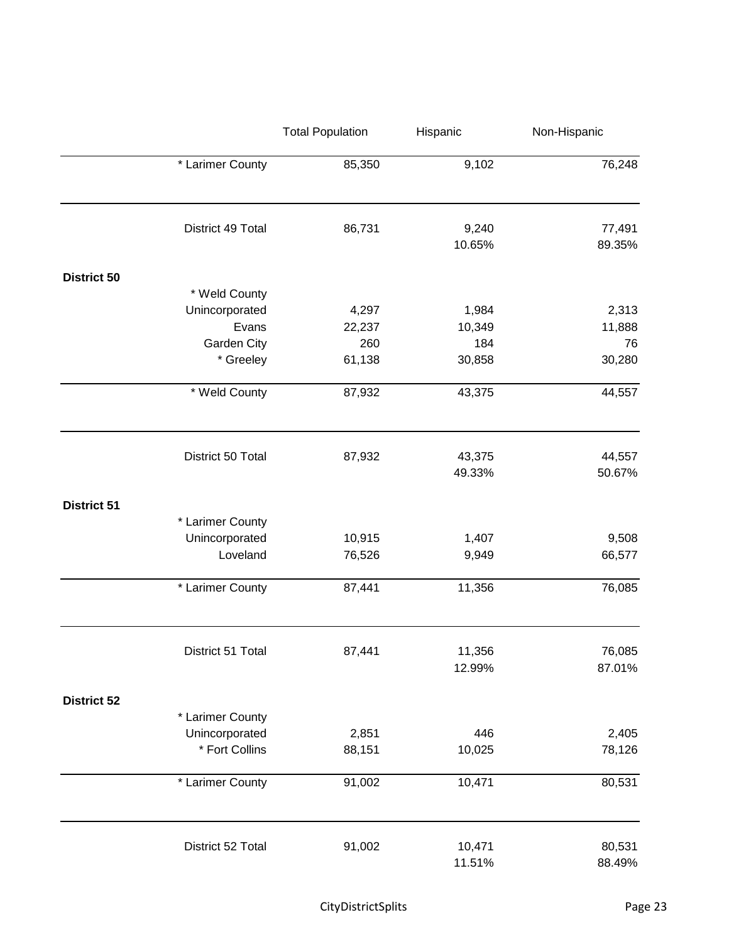|                    |                   | <b>Total Population</b> | Hispanic        | Non-Hispanic     |
|--------------------|-------------------|-------------------------|-----------------|------------------|
|                    | * Larimer County  | 85,350                  | 9,102           | 76,248           |
|                    | District 49 Total | 86,731                  | 9,240<br>10.65% | 77,491<br>89.35% |
| <b>District 50</b> |                   |                         |                 |                  |
|                    | * Weld County     |                         |                 |                  |
|                    | Unincorporated    | 4,297                   | 1,984           | 2,313            |
|                    | Evans             | 22,237                  | 10,349          | 11,888           |
|                    | Garden City       | 260                     | 184             | 76               |
|                    | * Greeley         | 61,138                  | 30,858          | 30,280           |
|                    | * Weld County     | 87,932                  | 43,375          | 44,557           |
|                    | District 50 Total | 87,932                  | 43,375          | 44,557           |
|                    |                   |                         | 49.33%          | 50.67%           |
| <b>District 51</b> |                   |                         |                 |                  |
|                    | * Larimer County  |                         |                 |                  |
|                    | Unincorporated    | 10,915                  | 1,407           | 9,508            |
|                    | Loveland          | 76,526                  | 9,949           | 66,577           |
|                    | * Larimer County  | 87,441                  | 11,356          | 76,085           |
|                    | District 51 Total | 87,441                  | 11,356          | 76,085           |
|                    |                   |                         | 12.99%          | 87.01%           |
| <b>District 52</b> |                   |                         |                 |                  |
|                    | * Larimer County  |                         |                 |                  |
|                    | Unincorporated    | 2,851                   | 446             | 2,405            |
|                    | * Fort Collins    | 88,151                  | 10,025          | 78,126           |
|                    | * Larimer County  | 91,002                  | 10,471          | 80,531           |
|                    | District 52 Total | 91,002                  | 10,471          | 80,531           |
|                    |                   |                         | 11.51%          | 88.49%           |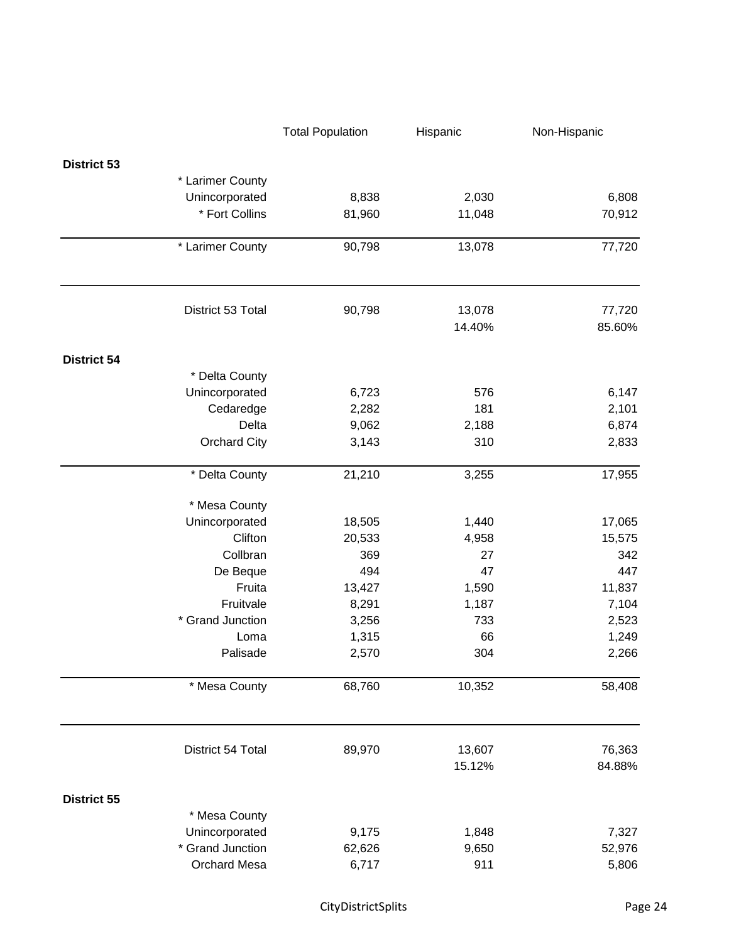|                     | <b>Total Population</b> | Hispanic | Non-Hispanic |
|---------------------|-------------------------|----------|--------------|
| <b>District 53</b>  |                         |          |              |
| * Larimer County    |                         |          |              |
| Unincorporated      | 8,838                   | 2,030    | 6,808        |
| * Fort Collins      | 81,960                  | 11,048   | 70,912       |
| * Larimer County    | 90,798                  | 13,078   | 77,720       |
|                     |                         |          |              |
| District 53 Total   | 90,798                  | 13,078   | 77,720       |
|                     |                         | 14.40%   | 85.60%       |
| <b>District 54</b>  |                         |          |              |
| * Delta County      |                         |          |              |
| Unincorporated      | 6,723                   | 576      | 6,147        |
| Cedaredge           | 2,282                   | 181      | 2,101        |
| Delta               | 9,062                   | 2,188    | 6,874        |
| <b>Orchard City</b> | 3,143                   | 310      | 2,833        |
| * Delta County      | 21,210                  | 3,255    | 17,955       |
| * Mesa County       |                         |          |              |
| Unincorporated      | 18,505                  | 1,440    | 17,065       |
| Clifton             | 20,533                  | 4,958    | 15,575       |
| Collbran            | 369                     | 27       | 342          |
| De Beque            | 494                     | 47       | 447          |
| Fruita              | 13,427                  | 1,590    | 11,837       |
| Fruitvale           | 8,291                   | 1,187    | 7,104        |
| * Grand Junction    | 3,256                   | 733      | 2,523        |
| Loma                | 1,315                   | 66       | 1,249        |
| Palisade            | 2,570                   | 304      | 2,266        |
| * Mesa County       | 68,760                  | 10,352   | 58,408       |
| District 54 Total   | 89,970                  | 13,607   | 76,363       |
|                     |                         | 15.12%   | 84.88%       |
| <b>District 55</b>  |                         |          |              |
| * Mesa County       |                         |          |              |
| Unincorporated      | 9,175                   | 1,848    | 7,327        |
| * Grand Junction    | 62,626                  | 9,650    | 52,976       |
| <b>Orchard Mesa</b> | 6,717                   | 911      | 5,806        |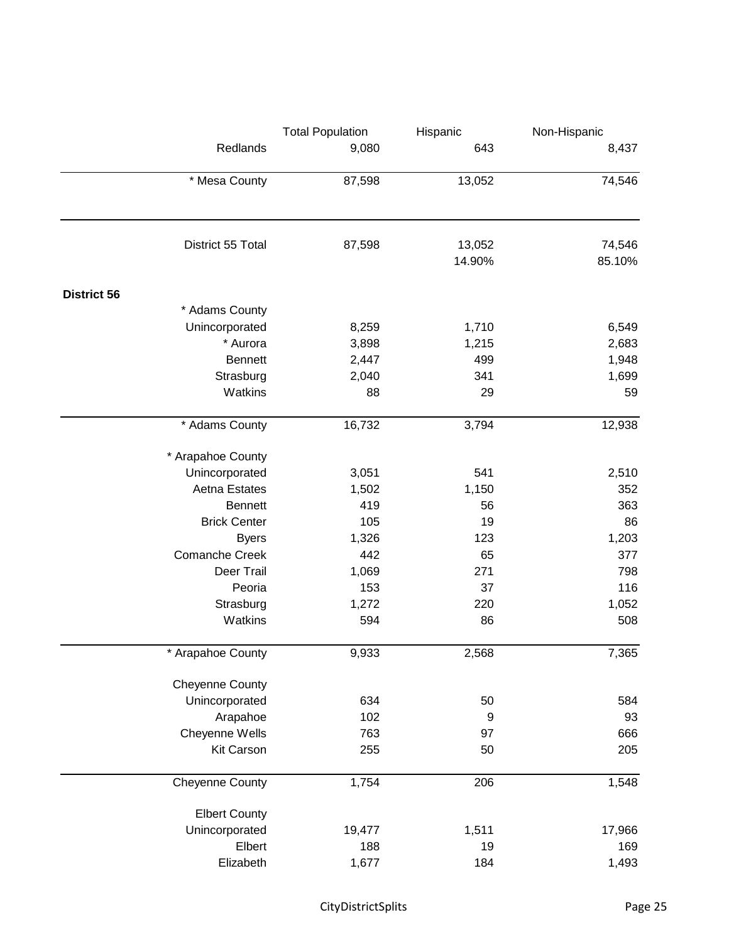|                    |                        | <b>Total Population</b> | Hispanic | Non-Hispanic |
|--------------------|------------------------|-------------------------|----------|--------------|
|                    | Redlands               | 9,080                   | 643      | 8,437        |
|                    | * Mesa County          | 87,598                  | 13,052   | 74,546       |
|                    |                        |                         |          |              |
|                    | District 55 Total      | 87,598                  | 13,052   | 74,546       |
|                    |                        |                         | 14.90%   | 85.10%       |
| <b>District 56</b> |                        |                         |          |              |
|                    | * Adams County         |                         |          |              |
|                    | Unincorporated         | 8,259                   | 1,710    | 6,549        |
|                    | * Aurora               | 3,898                   | 1,215    | 2,683        |
|                    | <b>Bennett</b>         | 2,447                   | 499      | 1,948        |
|                    | Strasburg              | 2,040                   | 341      | 1,699        |
|                    | Watkins                | 88                      | 29       | 59           |
|                    | * Adams County         | 16,732                  | 3,794    | 12,938       |
|                    | * Arapahoe County      |                         |          |              |
|                    | Unincorporated         | 3,051                   | 541      | 2,510        |
|                    | Aetna Estates          | 1,502                   | 1,150    | 352          |
|                    | <b>Bennett</b>         | 419                     | 56       | 363          |
|                    | <b>Brick Center</b>    | 105                     | 19       | 86           |
|                    | <b>Byers</b>           | 1,326                   | 123      | 1,203        |
|                    | <b>Comanche Creek</b>  | 442                     | 65       | 377          |
|                    | Deer Trail             | 1,069                   | 271      | 798          |
|                    | Peoria                 | 153                     | 37       | 116          |
|                    | Strasburg              | 1,272                   | 220      | 1,052        |
|                    | Watkins                | 594                     | 86       | 508          |
|                    | * Arapahoe County      | 9,933                   | 2,568    | 7,365        |
|                    | <b>Cheyenne County</b> |                         |          |              |
|                    | Unincorporated         | 634                     | 50       | 584          |
|                    |                        |                         |          |              |
|                    | Arapahoe               | 102                     | 9        | 93           |
|                    | Cheyenne Wells         | 763                     | 97       | 666          |
|                    | <b>Kit Carson</b>      | 255                     | 50       | 205          |
|                    | <b>Cheyenne County</b> | 1,754                   | 206      | 1,548        |
|                    | <b>Elbert County</b>   |                         |          |              |
|                    | Unincorporated         | 19,477                  | 1,511    | 17,966       |
|                    | Elbert                 | 188                     | 19       | 169          |
|                    | Elizabeth              | 1,677                   | 184      | 1,493        |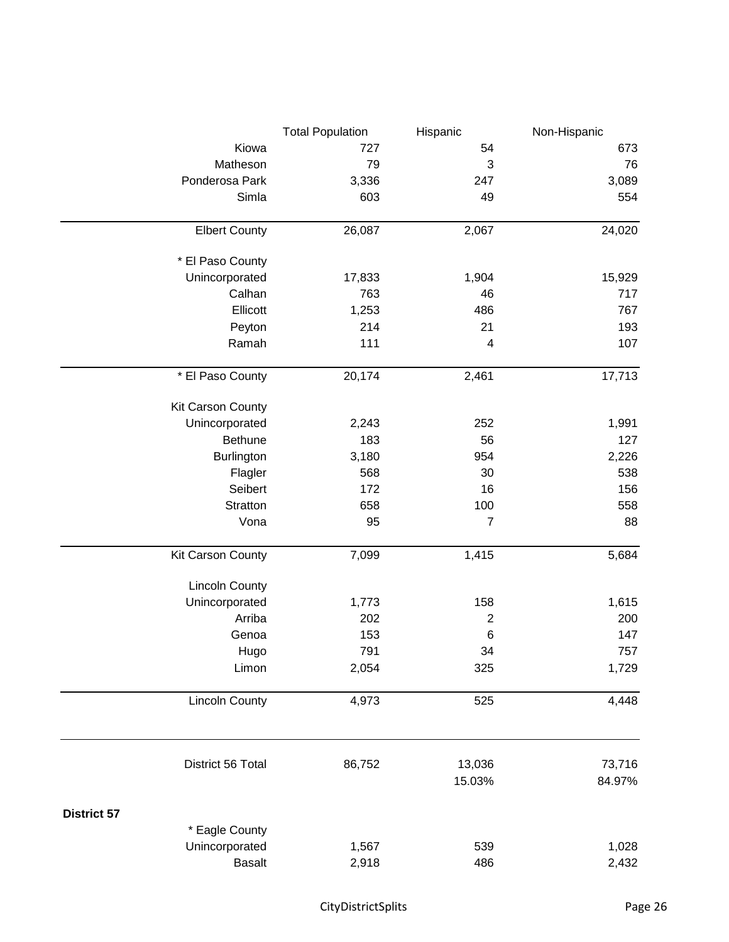|                       | <b>Total Population</b> | Hispanic        | Non-Hispanic |
|-----------------------|-------------------------|-----------------|--------------|
| Kiowa                 | 727                     | 54              | 673          |
| Matheson              | 79                      | 3               | 76           |
| Ponderosa Park        | 3,336                   | 247             | 3,089        |
| Simla                 | 603                     | 49              | 554          |
|                       |                         |                 |              |
| <b>Elbert County</b>  | 26,087                  | 2,067           | 24,020       |
| * El Paso County      |                         |                 |              |
| Unincorporated        | 17,833                  | 1,904           | 15,929       |
| Calhan                | 763                     | 46              | 717          |
| Ellicott              | 1,253                   | 486             | 767          |
| Peyton                | 214                     | 21              | 193          |
| Ramah                 | 111                     | $\overline{4}$  | 107          |
| * El Paso County      | 20,174                  | 2,461           | 17,713       |
| Kit Carson County     |                         |                 |              |
| Unincorporated        | 2,243                   | 252             | 1,991        |
| <b>Bethune</b>        | 183                     | 56              | 127          |
| Burlington            | 3,180                   | 954             | 2,226        |
| Flagler               | 568                     | 30              | 538          |
| Seibert               | 172                     | 16              | 156          |
| Stratton              | 658                     | 100             | 558          |
| Vona                  | 95                      | $\overline{7}$  | 88           |
| Kit Carson County     | 7,099                   | 1,415           | 5,684        |
| <b>Lincoln County</b> |                         |                 |              |
| Unincorporated        | 1,773                   | 158             | 1,615        |
| Arriba                | 202                     | $\overline{2}$  | 200          |
| Genoa                 | 153                     | $6\phantom{1}6$ | 147          |
| Hugo                  | 791                     | 34              | 757          |
| Limon                 | 2,054                   | 325             | 1,729        |
| <b>Lincoln County</b> | 4,973                   | 525             | 4,448        |
|                       |                         |                 |              |
| District 56 Total     | 86,752                  | 13,036          | 73,716       |
|                       |                         | 15.03%          | 84.97%       |
| <b>District 57</b>    |                         |                 |              |
| * Eagle County        |                         |                 |              |
| Unincorporated        | 1,567                   | 539             | 1,028        |
| <b>Basalt</b>         | 2,918                   | 486             | 2,432        |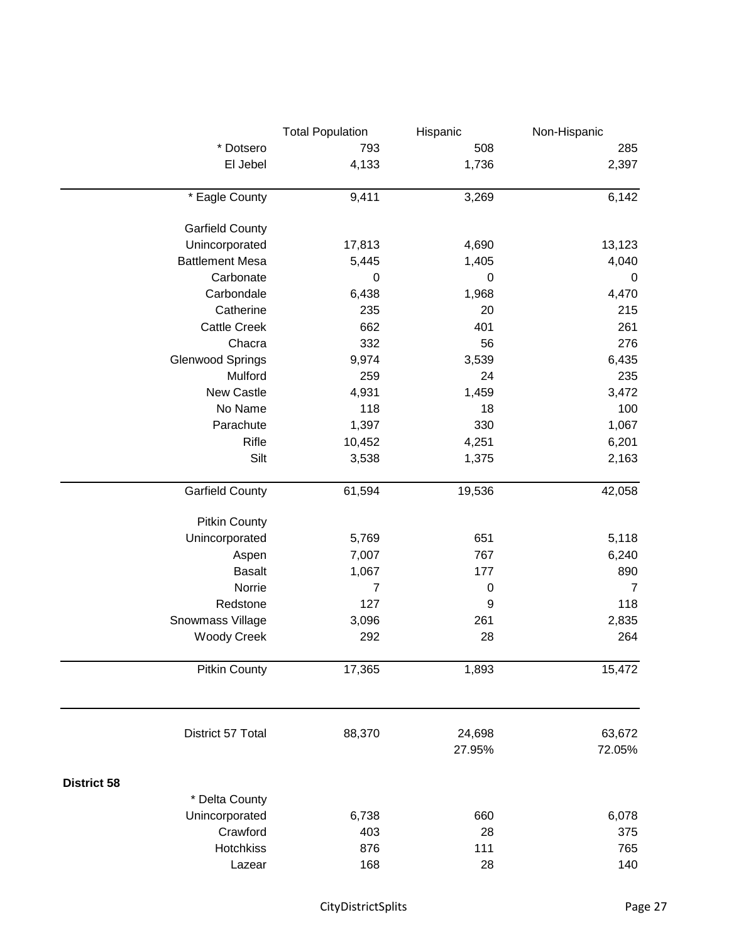|                         | <b>Total Population</b> | Hispanic    | Non-Hispanic   |
|-------------------------|-------------------------|-------------|----------------|
| * Dotsero               | 793                     | 508         | 285            |
| El Jebel                | 4,133                   | 1,736       | 2,397          |
| * Eagle County          | 9,411                   | 3,269       | 6,142          |
| <b>Garfield County</b>  |                         |             |                |
| Unincorporated          | 17,813                  | 4,690       | 13,123         |
| <b>Battlement Mesa</b>  | 5,445                   | 1,405       | 4,040          |
| Carbonate               | $\pmb{0}$               | $\pmb{0}$   | $\mathbf 0$    |
| Carbondale              | 6,438                   | 1,968       | 4,470          |
| Catherine               | 235                     | 20          | 215            |
| <b>Cattle Creek</b>     | 662                     | 401         | 261            |
| Chacra                  | 332                     | 56          | 276            |
| <b>Glenwood Springs</b> | 9,974                   | 3,539       | 6,435          |
| Mulford                 | 259                     | 24          | 235            |
| New Castle              | 4,931                   | 1,459       | 3,472          |
| No Name                 | 118                     | 18          | 100            |
| Parachute               | 1,397                   | 330         | 1,067          |
| Rifle                   | 10,452                  | 4,251       | 6,201          |
| Silt                    | 3,538                   | 1,375       | 2,163          |
|                         |                         |             |                |
| <b>Garfield County</b>  | 61,594                  | 19,536      | 42,058         |
| <b>Pitkin County</b>    |                         |             |                |
| Unincorporated          | 5,769                   | 651         | 5,118          |
| Aspen                   | 7,007                   | 767         | 6,240          |
| <b>Basalt</b>           | 1,067                   | 177         | 890            |
| Norrie                  | 7                       | $\mathbf 0$ | $\overline{7}$ |
| Redstone                | 127                     | 9           | 118            |
| Snowmass Village        | 3,096                   | 261         | 2,835          |
| <b>Woody Creek</b>      | 292                     | 28          | 264            |
| <b>Pitkin County</b>    | 17,365                  | 1,893       | 15,472         |
| District 57 Total       | 88,370                  | 24,698      | 63,672         |
|                         |                         | 27.95%      | 72.05%         |
|                         |                         |             |                |
| <b>District 58</b>      |                         |             |                |
| * Delta County          |                         |             |                |
| Unincorporated          | 6,738                   | 660         | 6,078          |
| Crawford                | 403                     | 28          | 375            |
| Hotchkiss               | 876                     | 111         | 765            |
| Lazear                  | 168                     | 28          | 140            |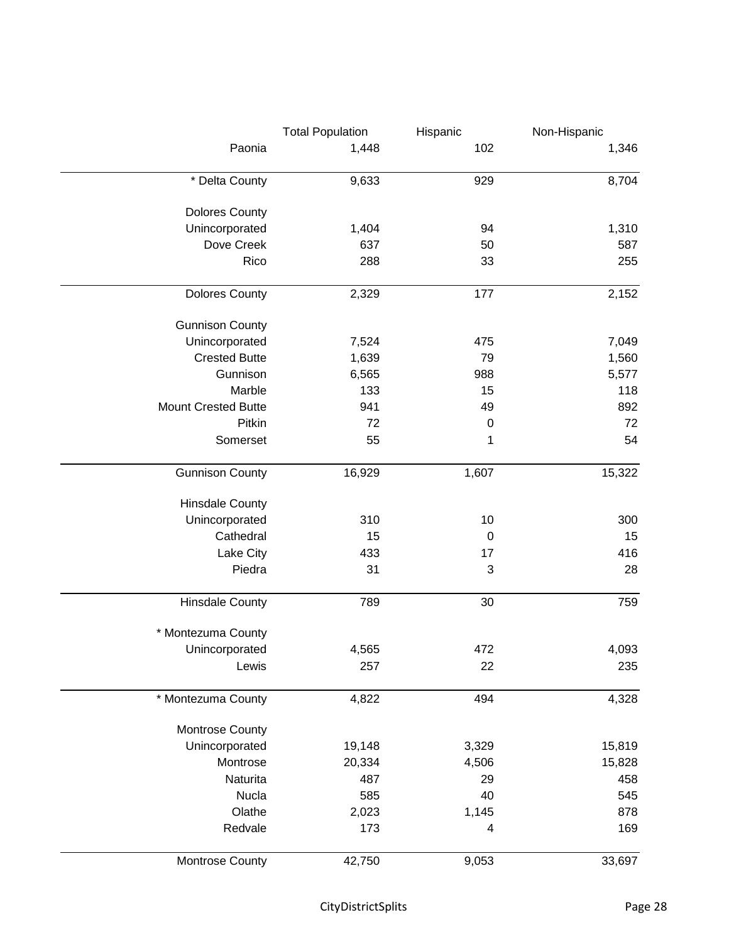|                            | <b>Total Population</b> | Hispanic    | Non-Hispanic |
|----------------------------|-------------------------|-------------|--------------|
| Paonia                     | 1,448                   | 102         | 1,346        |
| * Delta County             | 9,633                   | 929         | 8,704        |
| <b>Dolores County</b>      |                         |             |              |
| Unincorporated             | 1,404                   | 94          | 1,310        |
| Dove Creek                 | 637                     | 50          | 587          |
| Rico                       | 288                     | 33          | 255          |
| <b>Dolores County</b>      | 2,329                   | 177         | 2,152        |
| <b>Gunnison County</b>     |                         |             |              |
| Unincorporated             | 7,524                   | 475         | 7,049        |
| <b>Crested Butte</b>       | 1,639                   | 79          | 1,560        |
| Gunnison                   | 6,565                   | 988         | 5,577        |
| Marble                     | 133                     | 15          | 118          |
| <b>Mount Crested Butte</b> | 941                     | 49          | 892          |
| Pitkin                     | 72                      | $\mathbf 0$ | 72           |
| Somerset                   | 55                      | 1           | 54           |
| <b>Gunnison County</b>     | 16,929                  | 1,607       | 15,322       |
| <b>Hinsdale County</b>     |                         |             |              |
| Unincorporated             | 310                     | 10          | 300          |
| Cathedral                  | 15                      | $\mathbf 0$ | 15           |
| Lake City                  | 433                     | 17          | 416          |
| Piedra                     | 31                      | 3           | 28           |
| <b>Hinsdale County</b>     | 789                     | 30          | 759          |
| * Montezuma County         |                         |             |              |
| Unincorporated             | 4,565                   | 472         | 4,093        |
| Lewis                      | 257                     | 22          | 235          |
| * Montezuma County         | 4,822                   | 494         | 4,328        |
| Montrose County            |                         |             |              |
| Unincorporated             | 19,148                  | 3,329       | 15,819       |
| Montrose                   | 20,334                  | 4,506       | 15,828       |
| Naturita                   | 487                     | 29          | 458          |
| <b>Nucla</b>               | 585                     | 40          | 545          |
| Olathe                     | 2,023                   | 1,145       | 878          |
| Redvale                    | 173                     | 4           | 169          |
| Montrose County            | 42,750                  | 9,053       | 33,697       |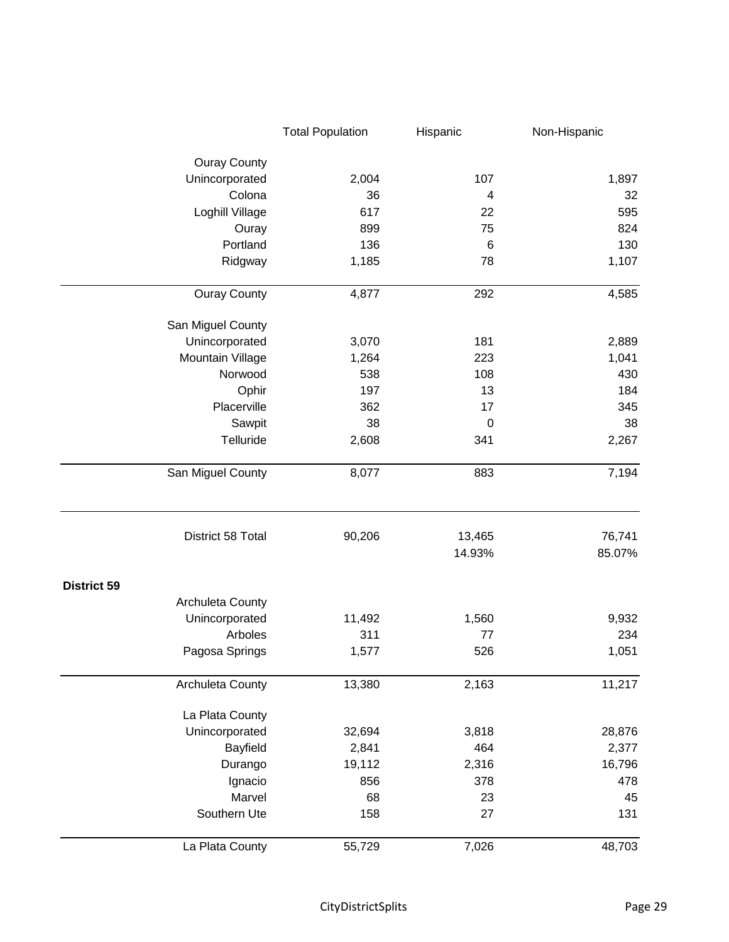|                     | <b>Total Population</b> | Hispanic         | Non-Hispanic     |
|---------------------|-------------------------|------------------|------------------|
| <b>Ouray County</b> |                         |                  |                  |
| Unincorporated      | 2,004                   | 107              | 1,897            |
| Colona              | 36                      | 4                | 32               |
| Loghill Village     | 617                     | 22               | 595              |
| Ouray               | 899                     | 75               | 824              |
| Portland            | 136                     | $6\phantom{1}6$  | 130              |
| Ridgway             | 1,185                   | 78               | 1,107            |
| <b>Ouray County</b> | 4,877                   | 292              | 4,585            |
| San Miguel County   |                         |                  |                  |
| Unincorporated      | 3,070                   | 181              | 2,889            |
| Mountain Village    | 1,264                   | 223              | 1,041            |
| Norwood             | 538                     | 108              | 430              |
| Ophir               | 197                     | 13               | 184              |
| Placerville         | 362                     | 17               | 345              |
| Sawpit              | 38                      | $\mathbf 0$      | 38               |
| Telluride           | 2,608                   | 341              | 2,267            |
| San Miguel County   | 8,077                   | 883              | 7,194            |
| District 58 Total   | 90,206                  | 13,465<br>14.93% | 76,741<br>85.07% |
| <b>District 59</b>  |                         |                  |                  |
| Archuleta County    |                         |                  |                  |
| Unincorporated      | 11,492                  | 1,560            | 9,932            |
| Arboles             | 311                     | 77               | 234              |
| Pagosa Springs      | 1,577                   | 526              | 1,051            |
| Archuleta County    | 13,380                  | 2,163            | 11,217           |
| La Plata County     |                         |                  |                  |
| Unincorporated      | 32,694                  | 3,818            | 28,876           |
| Bayfield            | 2,841                   | 464              | 2,377            |
| Durango             | 19,112                  | 2,316            | 16,796           |
| Ignacio             | 856                     | 378              | 478              |
| Marvel              | 68                      | 23               | 45               |
| Southern Ute        | 158                     | 27               | 131              |
| La Plata County     | 55,729                  | 7,026            | 48,703           |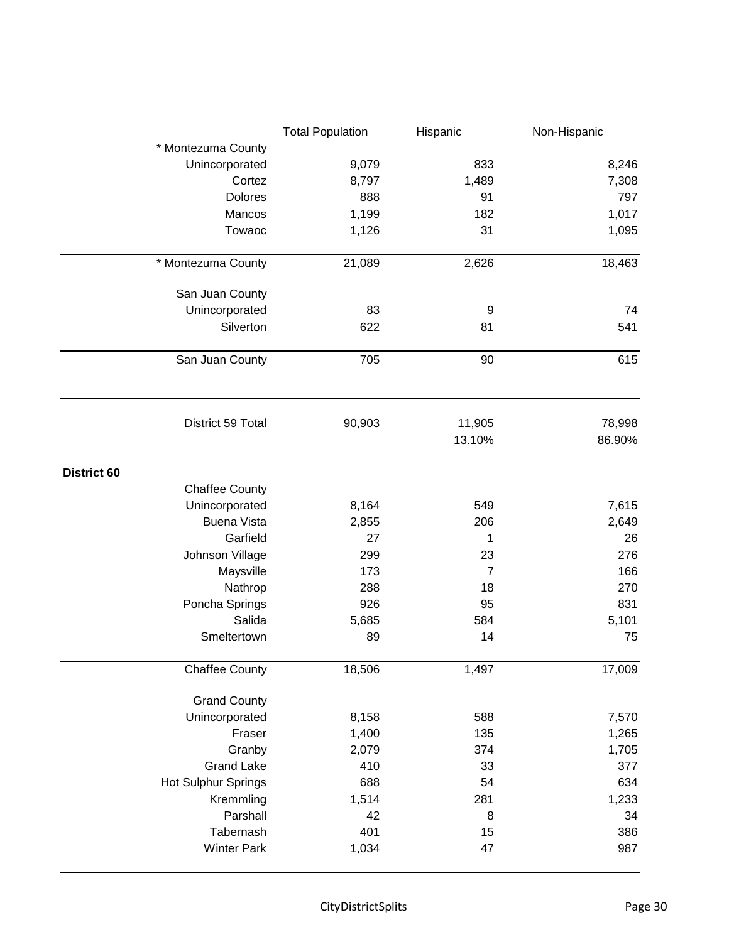|                            | <b>Total Population</b> | Hispanic       | Non-Hispanic |
|----------------------------|-------------------------|----------------|--------------|
| * Montezuma County         |                         |                |              |
| Unincorporated             | 9,079                   | 833            | 8,246        |
| Cortez                     | 8,797                   | 1,489          | 7,308        |
| Dolores                    | 888                     | 91             | 797          |
| Mancos                     | 1,199                   | 182            | 1,017        |
| Towaoc                     | 1,126                   | 31             | 1,095        |
|                            |                         |                |              |
| * Montezuma County         | 21,089                  | 2,626          | 18,463       |
| San Juan County            |                         |                |              |
| Unincorporated             | 83                      | 9              | 74           |
| Silverton                  | 622                     | 81             | 541          |
|                            |                         |                |              |
| San Juan County            | 705                     | 90             | 615          |
| District 59 Total          | 90,903                  | 11,905         | 78,998       |
|                            |                         | 13.10%         | 86.90%       |
| District 60                |                         |                |              |
| <b>Chaffee County</b>      |                         |                |              |
| Unincorporated             | 8,164                   | 549            | 7,615        |
| <b>Buena Vista</b>         | 2,855                   | 206            | 2,649        |
| Garfield                   | 27                      | 1              | 26           |
| Johnson Village            | 299                     | 23             | 276          |
| Maysville                  | 173                     | $\overline{7}$ | 166          |
| Nathrop                    | 288                     | 18             | 270          |
| Poncha Springs             | 926                     | 95             | 831          |
| Salida                     | 5,685                   | 584            | 5,101        |
| Smeltertown                | 89                      | 14             | 75           |
| <b>Chaffee County</b>      | 18,506                  | 1,497          | 17,009       |
| <b>Grand County</b>        |                         |                |              |
| Unincorporated             | 8,158                   | 588            | 7,570        |
| Fraser                     | 1,400                   | 135            | 1,265        |
| Granby                     | 2,079                   | 374            | 1,705        |
| <b>Grand Lake</b>          | 410                     | 33             | 377          |
| <b>Hot Sulphur Springs</b> | 688                     | 54             | 634          |
| Kremmling                  | 1,514                   | 281            | 1,233        |
| Parshall                   | 42                      | 8              | 34           |
| Tabernash                  | 401                     | 15             | 386          |
| <b>Winter Park</b>         | 1,034                   | 47             | 987          |
|                            |                         |                |              |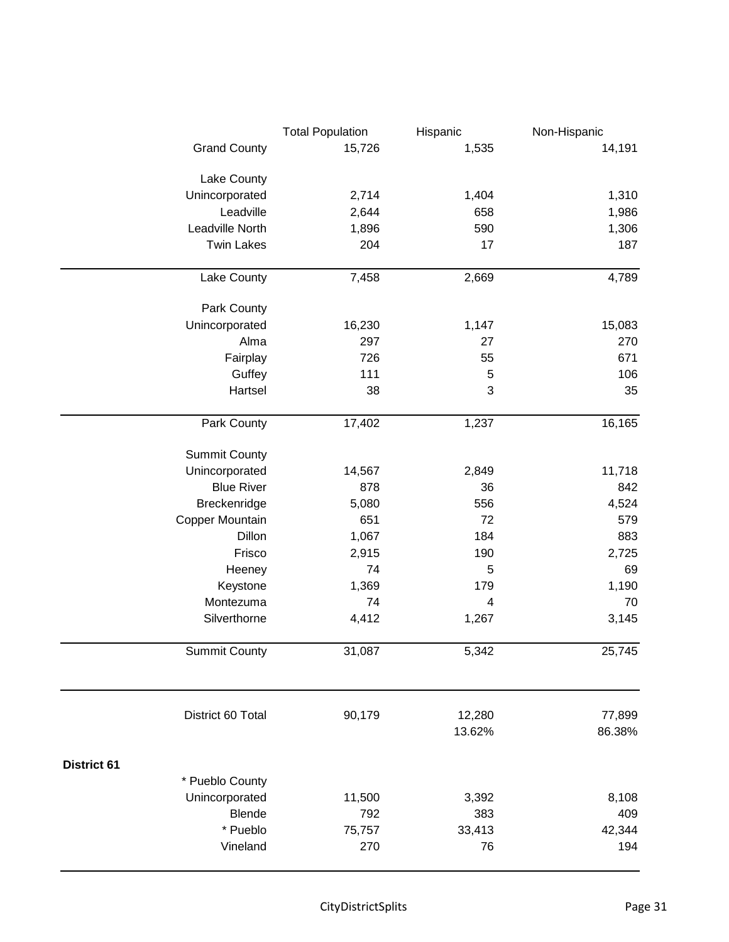|                             | <b>Total Population</b> | Hispanic         | Non-Hispanic     |
|-----------------------------|-------------------------|------------------|------------------|
| <b>Grand County</b>         | 15,726                  | 1,535            | 14,191           |
|                             |                         |                  |                  |
| Lake County                 |                         | 1,404            | 1,310            |
| Unincorporated<br>Leadville | 2,714<br>2,644          | 658              | 1,986            |
| Leadville North             | 1,896                   | 590              | 1,306            |
| <b>Twin Lakes</b>           | 204                     | 17               | 187              |
|                             |                         |                  |                  |
| Lake County                 | 7,458                   | 2,669            | 4,789            |
| Park County                 |                         |                  |                  |
| Unincorporated              | 16,230                  | 1,147            | 15,083           |
| Alma                        | 297                     | 27               | 270              |
| Fairplay                    | 726                     | 55               | 671              |
| Guffey                      | 111                     | $\sqrt{5}$       | 106              |
| Hartsel                     | 38                      | 3                | 35               |
| Park County                 | 17,402                  | 1,237            | 16,165           |
| <b>Summit County</b>        |                         |                  |                  |
| Unincorporated              | 14,567                  | 2,849            | 11,718           |
| <b>Blue River</b>           | 878                     | 36               | 842              |
| Breckenridge                | 5,080                   | 556              | 4,524            |
| Copper Mountain             | 651                     | 72               | 579              |
| Dillon                      | 1,067                   | 184              | 883              |
| Frisco                      | 2,915                   | 190              | 2,725            |
| Heeney                      | 74                      | 5                | 69               |
| Keystone                    | 1,369                   | 179              | 1,190            |
| Montezuma                   | 74                      | 4                | 70               |
| Silverthorne                | 4,412                   | 1,267            | 3,145            |
| <b>Summit County</b>        | 31,087                  | 5,342            | 25,745           |
|                             |                         |                  |                  |
| District 60 Total           | 90,179                  | 12,280<br>13.62% | 77,899<br>86.38% |
| <b>District 61</b>          |                         |                  |                  |
| * Pueblo County             |                         |                  |                  |
| Unincorporated              | 11,500                  | 3,392            | 8,108            |
| <b>Blende</b>               | 792                     | 383              | 409              |
| * Pueblo                    | 75,757                  | 33,413           | 42,344           |
| Vineland                    | 270                     | 76               | 194              |
|                             |                         |                  |                  |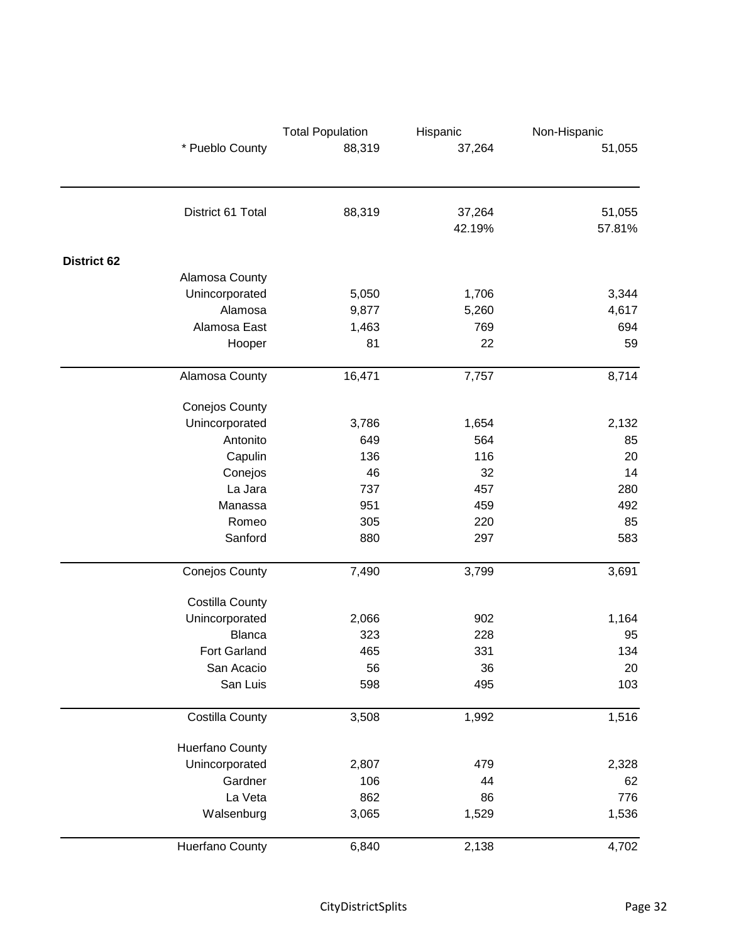|                    |                        | <b>Total Population</b> | Hispanic         | Non-Hispanic     |
|--------------------|------------------------|-------------------------|------------------|------------------|
|                    | * Pueblo County        | 88,319                  | 37,264           | 51,055           |
|                    |                        |                         |                  |                  |
|                    | District 61 Total      | 88,319                  | 37,264<br>42.19% | 51,055<br>57.81% |
| <b>District 62</b> |                        |                         |                  |                  |
|                    | Alamosa County         |                         |                  |                  |
|                    | Unincorporated         | 5,050                   | 1,706            | 3,344            |
|                    | Alamosa                | 9,877                   | 5,260            | 4,617            |
|                    | Alamosa East           | 1,463                   | 769              | 694              |
|                    | Hooper                 | 81                      | 22               | 59               |
|                    | Alamosa County         | 16,471                  | 7,757            | 8,714            |
|                    | <b>Conejos County</b>  |                         |                  |                  |
|                    | Unincorporated         | 3,786                   | 1,654            | 2,132            |
|                    | Antonito               | 649                     | 564              | 85               |
|                    | Capulin                | 136                     | 116              | 20               |
|                    | Conejos                | 46                      | 32               | 14               |
|                    | La Jara                | 737                     | 457              | 280              |
|                    | Manassa                | 951                     | 459              | 492              |
|                    | Romeo                  | 305                     | 220              | 85               |
|                    | Sanford                | 880                     | 297              | 583              |
|                    | <b>Conejos County</b>  | 7,490                   | 3,799            | 3,691            |
|                    | <b>Costilla County</b> |                         |                  |                  |
|                    | Unincorporated         | 2,066                   | 902              | 1,164            |
|                    | <b>Blanca</b>          | 323                     | 228              | 95               |
|                    | <b>Fort Garland</b>    | 465                     | 331              | 134              |
|                    | San Acacio             | 56                      | 36               | 20               |
|                    | San Luis               | 598                     | 495              | 103              |
|                    | <b>Costilla County</b> | 3,508                   | 1,992            | 1,516            |
|                    | <b>Huerfano County</b> |                         |                  |                  |
|                    | Unincorporated         | 2,807                   | 479              | 2,328            |
|                    | Gardner                | 106                     | 44               | 62               |
|                    | La Veta                | 862                     | 86               | 776              |
|                    | Walsenburg             | 3,065                   | 1,529            | 1,536            |
|                    | Huerfano County        | 6,840                   | 2,138            | 4,702            |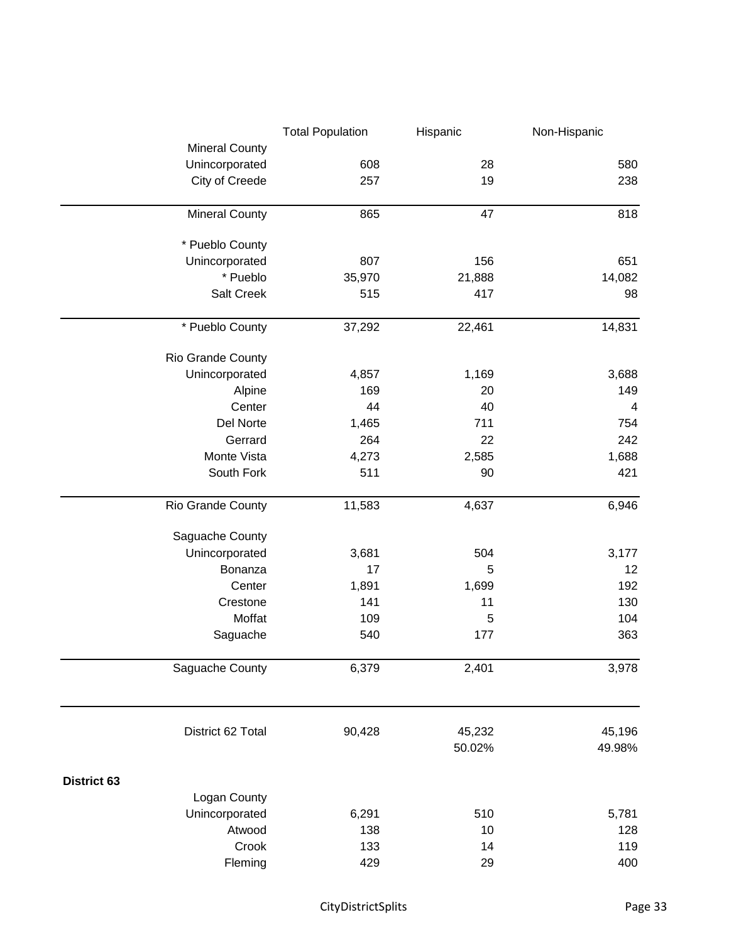|                       | <b>Total Population</b> | Hispanic | Non-Hispanic   |
|-----------------------|-------------------------|----------|----------------|
| <b>Mineral County</b> |                         |          |                |
| Unincorporated        | 608                     | 28       | 580            |
| City of Creede        | 257                     | 19       | 238            |
| <b>Mineral County</b> | 865                     | 47       | 818            |
| * Pueblo County       |                         |          |                |
| Unincorporated        | 807                     | 156      | 651            |
| * Pueblo              | 35,970                  | 21,888   | 14,082         |
| Salt Creek            | 515                     | 417      | 98             |
| * Pueblo County       | 37,292                  | 22,461   | 14,831         |
| Rio Grande County     |                         |          |                |
| Unincorporated        | 4,857                   | 1,169    | 3,688          |
| Alpine                | 169                     | 20       | 149            |
| Center                | 44                      | 40       | $\overline{4}$ |
| Del Norte             | 1,465                   | 711      | 754            |
| Gerrard               | 264                     | 22       | 242            |
| Monte Vista           | 4,273                   | 2,585    | 1,688          |
| South Fork            | 511                     | 90       | 421            |
| Rio Grande County     | 11,583                  | 4,637    | 6,946          |
| Saguache County       |                         |          |                |
| Unincorporated        | 3,681                   | 504      | 3,177          |
| Bonanza               | 17                      | 5        | 12             |
| Center                | 1,891                   | 1,699    | 192            |
| Crestone              | 141                     | 11       | 130            |
| Moffat                | 109                     | 5        | 104            |
| Saguache              | 540                     | 177      | 363            |
| Saguache County       | 6,379                   | 2,401    | 3,978          |
| District 62 Total     | 90,428                  | 45,232   | 45,196         |
|                       |                         | 50.02%   | 49.98%         |
| <b>District 63</b>    |                         |          |                |
| Logan County          |                         |          |                |
| Unincorporated        | 6,291                   | 510      | 5,781          |
| Atwood                | 138                     | 10       | 128            |
| Crook                 | 133                     | 14       | 119            |
| Fleming               | 429                     | 29       | 400            |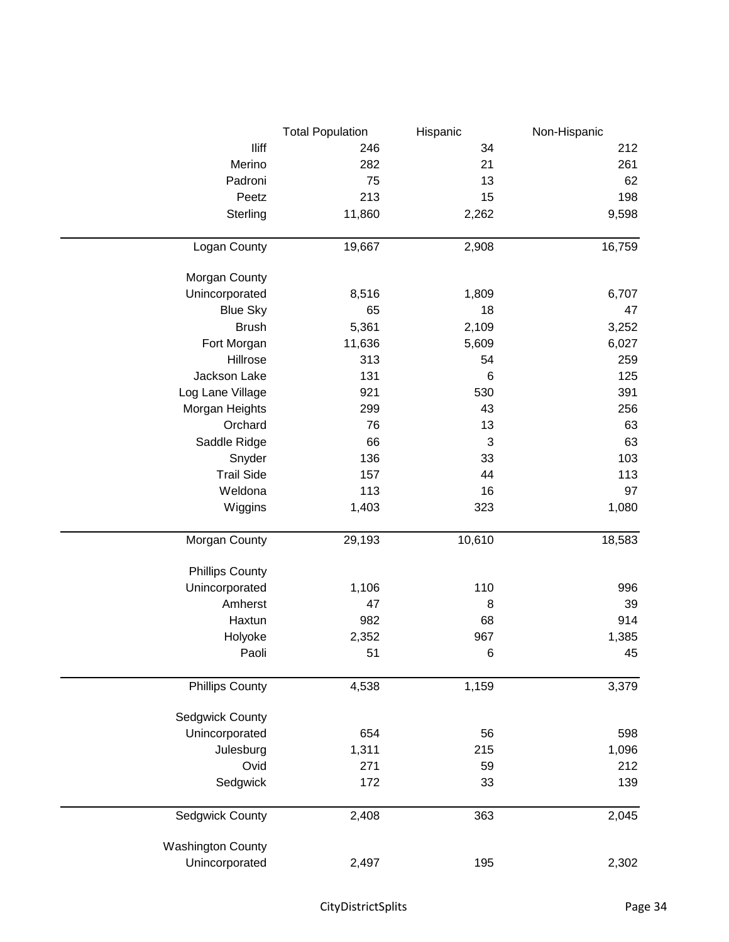|                          | <b>Total Population</b> | Hispanic | Non-Hispanic |
|--------------------------|-------------------------|----------|--------------|
| lliff                    | 246                     | 34       | 212          |
| Merino                   | 282                     | 21       | 261          |
| Padroni                  | 75                      | 13       | 62           |
| Peetz                    | 213                     | 15       | 198          |
| Sterling                 | 11,860                  | 2,262    | 9,598        |
| Logan County             | 19,667                  | 2,908    | 16,759       |
|                          |                         |          |              |
| Morgan County            |                         |          |              |
| Unincorporated           | 8,516                   | 1,809    | 6,707        |
| <b>Blue Sky</b>          | 65                      | 18       | 47           |
| <b>Brush</b>             | 5,361                   | 2,109    | 3,252        |
| Fort Morgan              | 11,636                  | 5,609    | 6,027        |
| Hillrose                 | 313                     | 54       | 259          |
| Jackson Lake             | 131                     | 6        | 125          |
| Log Lane Village         | 921                     | 530      | 391          |
| Morgan Heights           | 299                     | 43       | 256          |
| Orchard                  | 76                      | 13       | 63           |
| Saddle Ridge             | 66                      | 3        | 63           |
| Snyder                   | 136                     | 33       | 103          |
| <b>Trail Side</b>        | 157                     | 44       | 113          |
| Weldona                  | 113                     | 16       | 97           |
| Wiggins                  | 1,403                   | 323      | 1,080        |
| Morgan County            | 29,193                  | 10,610   | 18,583       |
| <b>Phillips County</b>   |                         |          |              |
| Unincorporated           | 1,106                   | 110      | 996          |
| Amherst                  | 47                      | 8        | 39           |
| Haxtun                   | 982                     | 68       | 914          |
| Holyoke                  | 2,352                   | 967      | 1,385        |
| Paoli                    | 51                      | $\,6$    | 45           |
|                          |                         |          |              |
| <b>Phillips County</b>   | 4,538                   | 1,159    | 3,379        |
| Sedgwick County          |                         |          |              |
| Unincorporated           | 654                     | 56       | 598          |
| Julesburg                | 1,311                   | 215      | 1,096        |
| Ovid                     | 271                     | 59       | 212          |
| Sedgwick                 | 172                     | 33       | 139          |
| Sedgwick County          | 2,408                   | 363      | 2,045        |
| <b>Washington County</b> |                         |          |              |
| Unincorporated           | 2,497                   | 195      | 2,302        |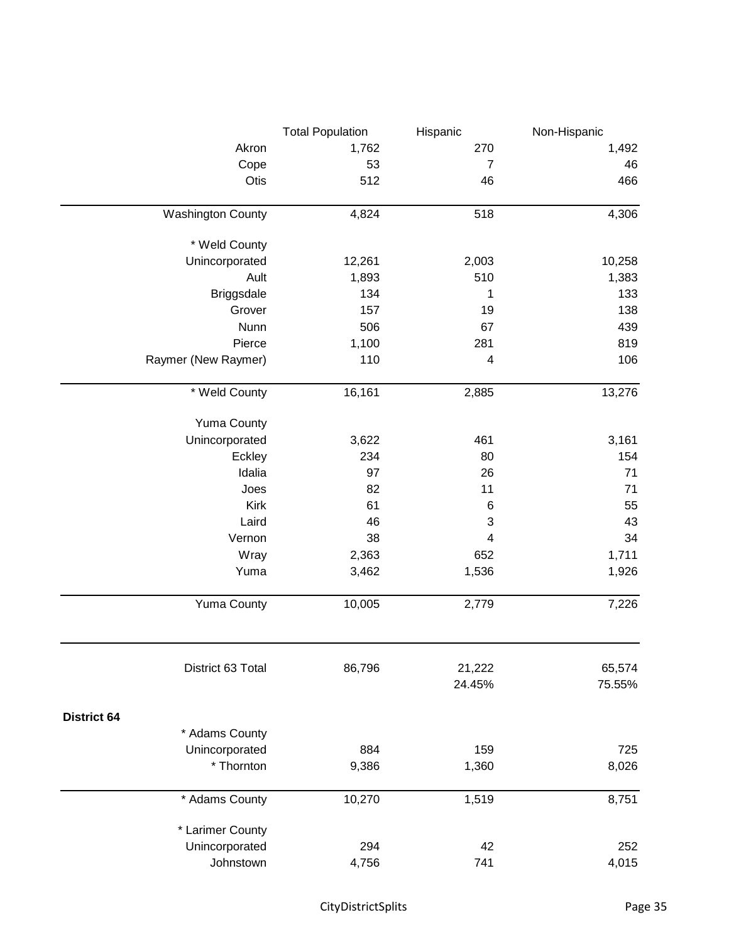|                          | <b>Total Population</b> | Hispanic                | Non-Hispanic |
|--------------------------|-------------------------|-------------------------|--------------|
| Akron                    | 1,762                   | 270                     | 1,492        |
| Cope                     | 53                      | $\overline{7}$          | 46           |
| Otis                     | 512                     | 46                      | 466          |
| <b>Washington County</b> | 4,824                   | 518                     | 4,306        |
| * Weld County            |                         |                         |              |
| Unincorporated           | 12,261                  | 2,003                   | 10,258       |
| Ault                     | 1,893                   | 510                     | 1,383        |
| <b>Briggsdale</b>        | 134                     | 1                       | 133          |
| Grover                   | 157                     | 19                      | 138          |
| Nunn                     | 506                     | 67                      | 439          |
| Pierce                   | 1,100                   | 281                     | 819          |
| Raymer (New Raymer)      | 110                     | 4                       | 106          |
| * Weld County            | 16,161                  | 2,885                   | 13,276       |
| <b>Yuma County</b>       |                         |                         |              |
| Unincorporated           | 3,622                   | 461                     | 3,161        |
| Eckley                   | 234                     | 80                      | 154          |
| Idalia                   | 97                      | 26                      | 71           |
| Joes                     | 82                      | 11                      | 71           |
| Kirk                     | 61                      | $\,6$                   | 55           |
| Laird                    | 46                      | $\sqrt{3}$              | 43           |
| Vernon                   | 38                      | $\overline{\mathbf{4}}$ | 34           |
| Wray                     | 2,363                   | 652                     | 1,711        |
| Yuma                     | 3,462                   | 1,536                   | 1,926        |
| <b>Yuma County</b>       | 10,005                  | 2,779                   | 7,226        |
| District 63 Total        | 86,796                  | 21,222                  | 65,574       |
|                          |                         | 24.45%                  | 75.55%       |
| <b>District 64</b>       |                         |                         |              |
| * Adams County           |                         |                         |              |
| Unincorporated           | 884                     | 159                     | 725          |
| * Thornton               | 9,386                   | 1,360                   | 8,026        |
| * Adams County           | 10,270                  | 1,519                   | 8,751        |
| * Larimer County         |                         |                         |              |
| Unincorporated           | 294                     | 42                      | 252          |
| Johnstown                | 4,756                   | 741                     | 4,015        |